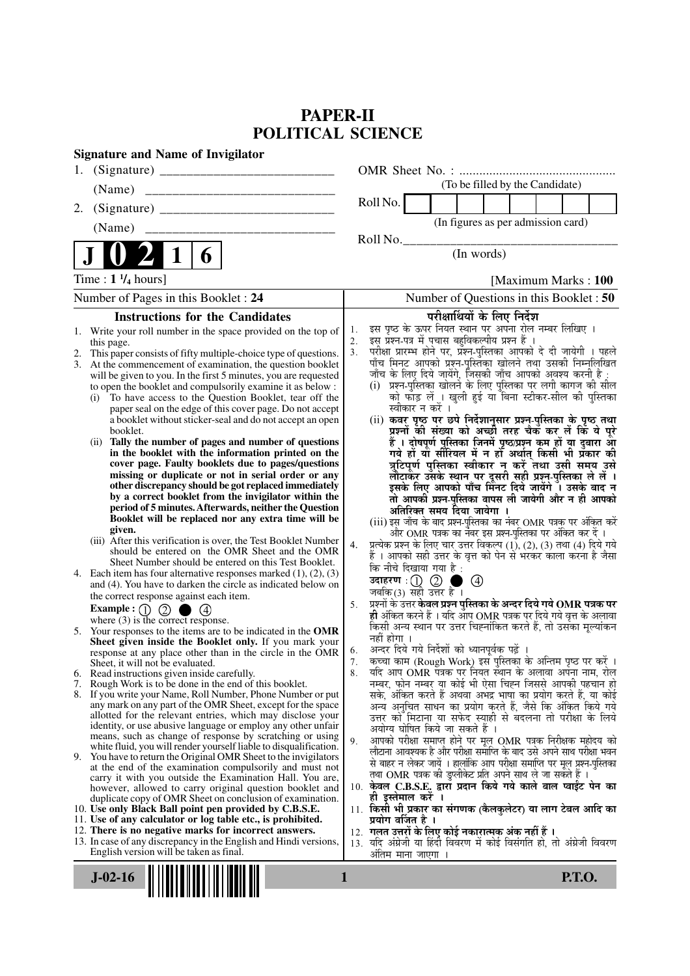# **PAPER-II POLITICAL SCIENCE**

| <b>Signature and Name of Invigilator</b>                                                                                                                                                                                                                                                                                                                                                                                                                                                                                                                                                                                                                                                                                                                                                                                                                                                                                                                                                                                                                                                                                                                                                                                                                                                                                                                                                                                                                                                                                                                                                                                                                                                                                                                                                                                                                                                                                                                                                                                                                                                                                                                                                                                                                                                                                                                                                                                                                                                                                                                                                                    |                                                                                                                                                                                                                                                                                                                                                                                                                                                                                                                                                                                                                                                                                                                                                                                                                                                                                                                                                                                                                                                                                                                                                                                                                                                                                                                                                                                                                                                                                                                                                                                                                                                                                                                                                                                                                                                                                                                                                                                                                                                                                                                                                                                                                                                                                                                                                                                                                                                                                                              |
|-------------------------------------------------------------------------------------------------------------------------------------------------------------------------------------------------------------------------------------------------------------------------------------------------------------------------------------------------------------------------------------------------------------------------------------------------------------------------------------------------------------------------------------------------------------------------------------------------------------------------------------------------------------------------------------------------------------------------------------------------------------------------------------------------------------------------------------------------------------------------------------------------------------------------------------------------------------------------------------------------------------------------------------------------------------------------------------------------------------------------------------------------------------------------------------------------------------------------------------------------------------------------------------------------------------------------------------------------------------------------------------------------------------------------------------------------------------------------------------------------------------------------------------------------------------------------------------------------------------------------------------------------------------------------------------------------------------------------------------------------------------------------------------------------------------------------------------------------------------------------------------------------------------------------------------------------------------------------------------------------------------------------------------------------------------------------------------------------------------------------------------------------------------------------------------------------------------------------------------------------------------------------------------------------------------------------------------------------------------------------------------------------------------------------------------------------------------------------------------------------------------------------------------------------------------------------------------------------------------|--------------------------------------------------------------------------------------------------------------------------------------------------------------------------------------------------------------------------------------------------------------------------------------------------------------------------------------------------------------------------------------------------------------------------------------------------------------------------------------------------------------------------------------------------------------------------------------------------------------------------------------------------------------------------------------------------------------------------------------------------------------------------------------------------------------------------------------------------------------------------------------------------------------------------------------------------------------------------------------------------------------------------------------------------------------------------------------------------------------------------------------------------------------------------------------------------------------------------------------------------------------------------------------------------------------------------------------------------------------------------------------------------------------------------------------------------------------------------------------------------------------------------------------------------------------------------------------------------------------------------------------------------------------------------------------------------------------------------------------------------------------------------------------------------------------------------------------------------------------------------------------------------------------------------------------------------------------------------------------------------------------------------------------------------------------------------------------------------------------------------------------------------------------------------------------------------------------------------------------------------------------------------------------------------------------------------------------------------------------------------------------------------------------------------------------------------------------------------------------------------------------|
| 1.                                                                                                                                                                                                                                                                                                                                                                                                                                                                                                                                                                                                                                                                                                                                                                                                                                                                                                                                                                                                                                                                                                                                                                                                                                                                                                                                                                                                                                                                                                                                                                                                                                                                                                                                                                                                                                                                                                                                                                                                                                                                                                                                                                                                                                                                                                                                                                                                                                                                                                                                                                                                          |                                                                                                                                                                                                                                                                                                                                                                                                                                                                                                                                                                                                                                                                                                                                                                                                                                                                                                                                                                                                                                                                                                                                                                                                                                                                                                                                                                                                                                                                                                                                                                                                                                                                                                                                                                                                                                                                                                                                                                                                                                                                                                                                                                                                                                                                                                                                                                                                                                                                                                              |
| (Name)                                                                                                                                                                                                                                                                                                                                                                                                                                                                                                                                                                                                                                                                                                                                                                                                                                                                                                                                                                                                                                                                                                                                                                                                                                                                                                                                                                                                                                                                                                                                                                                                                                                                                                                                                                                                                                                                                                                                                                                                                                                                                                                                                                                                                                                                                                                                                                                                                                                                                                                                                                                                      | (To be filled by the Candidate)                                                                                                                                                                                                                                                                                                                                                                                                                                                                                                                                                                                                                                                                                                                                                                                                                                                                                                                                                                                                                                                                                                                                                                                                                                                                                                                                                                                                                                                                                                                                                                                                                                                                                                                                                                                                                                                                                                                                                                                                                                                                                                                                                                                                                                                                                                                                                                                                                                                                              |
| 2.                                                                                                                                                                                                                                                                                                                                                                                                                                                                                                                                                                                                                                                                                                                                                                                                                                                                                                                                                                                                                                                                                                                                                                                                                                                                                                                                                                                                                                                                                                                                                                                                                                                                                                                                                                                                                                                                                                                                                                                                                                                                                                                                                                                                                                                                                                                                                                                                                                                                                                                                                                                                          | Roll No.                                                                                                                                                                                                                                                                                                                                                                                                                                                                                                                                                                                                                                                                                                                                                                                                                                                                                                                                                                                                                                                                                                                                                                                                                                                                                                                                                                                                                                                                                                                                                                                                                                                                                                                                                                                                                                                                                                                                                                                                                                                                                                                                                                                                                                                                                                                                                                                                                                                                                                     |
| (Name)                                                                                                                                                                                                                                                                                                                                                                                                                                                                                                                                                                                                                                                                                                                                                                                                                                                                                                                                                                                                                                                                                                                                                                                                                                                                                                                                                                                                                                                                                                                                                                                                                                                                                                                                                                                                                                                                                                                                                                                                                                                                                                                                                                                                                                                                                                                                                                                                                                                                                                                                                                                                      | (In figures as per admission card)                                                                                                                                                                                                                                                                                                                                                                                                                                                                                                                                                                                                                                                                                                                                                                                                                                                                                                                                                                                                                                                                                                                                                                                                                                                                                                                                                                                                                                                                                                                                                                                                                                                                                                                                                                                                                                                                                                                                                                                                                                                                                                                                                                                                                                                                                                                                                                                                                                                                           |
|                                                                                                                                                                                                                                                                                                                                                                                                                                                                                                                                                                                                                                                                                                                                                                                                                                                                                                                                                                                                                                                                                                                                                                                                                                                                                                                                                                                                                                                                                                                                                                                                                                                                                                                                                                                                                                                                                                                                                                                                                                                                                                                                                                                                                                                                                                                                                                                                                                                                                                                                                                                                             | Roll No.                                                                                                                                                                                                                                                                                                                                                                                                                                                                                                                                                                                                                                                                                                                                                                                                                                                                                                                                                                                                                                                                                                                                                                                                                                                                                                                                                                                                                                                                                                                                                                                                                                                                                                                                                                                                                                                                                                                                                                                                                                                                                                                                                                                                                                                                                                                                                                                                                                                                                                     |
| $\boldsymbol{\theta}$                                                                                                                                                                                                                                                                                                                                                                                                                                                                                                                                                                                                                                                                                                                                                                                                                                                                                                                                                                                                                                                                                                                                                                                                                                                                                                                                                                                                                                                                                                                                                                                                                                                                                                                                                                                                                                                                                                                                                                                                                                                                                                                                                                                                                                                                                                                                                                                                                                                                                                                                                                                       | (In words)                                                                                                                                                                                                                                                                                                                                                                                                                                                                                                                                                                                                                                                                                                                                                                                                                                                                                                                                                                                                                                                                                                                                                                                                                                                                                                                                                                                                                                                                                                                                                                                                                                                                                                                                                                                                                                                                                                                                                                                                                                                                                                                                                                                                                                                                                                                                                                                                                                                                                                   |
| Time : $1 \frac{1}{4}$ hours]                                                                                                                                                                                                                                                                                                                                                                                                                                                                                                                                                                                                                                                                                                                                                                                                                                                                                                                                                                                                                                                                                                                                                                                                                                                                                                                                                                                                                                                                                                                                                                                                                                                                                                                                                                                                                                                                                                                                                                                                                                                                                                                                                                                                                                                                                                                                                                                                                                                                                                                                                                               | [Maximum Marks: 100]                                                                                                                                                                                                                                                                                                                                                                                                                                                                                                                                                                                                                                                                                                                                                                                                                                                                                                                                                                                                                                                                                                                                                                                                                                                                                                                                                                                                                                                                                                                                                                                                                                                                                                                                                                                                                                                                                                                                                                                                                                                                                                                                                                                                                                                                                                                                                                                                                                                                                         |
| Number of Pages in this Booklet : 24                                                                                                                                                                                                                                                                                                                                                                                                                                                                                                                                                                                                                                                                                                                                                                                                                                                                                                                                                                                                                                                                                                                                                                                                                                                                                                                                                                                                                                                                                                                                                                                                                                                                                                                                                                                                                                                                                                                                                                                                                                                                                                                                                                                                                                                                                                                                                                                                                                                                                                                                                                        | Number of Questions in this Booklet : 50                                                                                                                                                                                                                                                                                                                                                                                                                                                                                                                                                                                                                                                                                                                                                                                                                                                                                                                                                                                                                                                                                                                                                                                                                                                                                                                                                                                                                                                                                                                                                                                                                                                                                                                                                                                                                                                                                                                                                                                                                                                                                                                                                                                                                                                                                                                                                                                                                                                                     |
| <b>Instructions for the Candidates</b>                                                                                                                                                                                                                                                                                                                                                                                                                                                                                                                                                                                                                                                                                                                                                                                                                                                                                                                                                                                                                                                                                                                                                                                                                                                                                                                                                                                                                                                                                                                                                                                                                                                                                                                                                                                                                                                                                                                                                                                                                                                                                                                                                                                                                                                                                                                                                                                                                                                                                                                                                                      | परीक्षार्थियों के लिए निर्देश                                                                                                                                                                                                                                                                                                                                                                                                                                                                                                                                                                                                                                                                                                                                                                                                                                                                                                                                                                                                                                                                                                                                                                                                                                                                                                                                                                                                                                                                                                                                                                                                                                                                                                                                                                                                                                                                                                                                                                                                                                                                                                                                                                                                                                                                                                                                                                                                                                                                                |
| 1. Write your roll number in the space provided on the top of<br>this page.<br>This paper consists of fifty multiple-choice type of questions.<br>2.<br>At the commencement of examination, the question booklet<br>3.<br>will be given to you. In the first 5 minutes, you are requested<br>to open the booklet and compulsorily examine it as below :<br>To have access to the Question Booklet, tear off the<br>(i)<br>paper seal on the edge of this cover page. Do not accept<br>a booklet without sticker-seal and do not accept an open<br>booklet.<br>Tally the number of pages and number of questions<br>(ii)<br>in the booklet with the information printed on the<br>cover page. Faulty booklets due to pages/questions<br>missing or duplicate or not in serial order or any<br>other discrepancy should be got replaced immediately<br>by a correct booklet from the invigilator within the<br>period of 5 minutes. Afterwards, neither the Question<br>Booklet will be replaced nor any extra time will be<br>given.<br>(iii) After this verification is over, the Test Booklet Number<br>should be entered on the OMR Sheet and the OMR<br>Sheet Number should be entered on this Test Booklet.<br>4. Each item has four alternative responses marked $(1)$ , $(2)$ , $(3)$<br>and (4). You have to darken the circle as indicated below on<br>the correct response against each item.<br>Example : $\begin{smallmatrix} 1 \end{smallmatrix}$ $\begin{smallmatrix} 2 \end{smallmatrix}$<br>where $(3)$ is the correct response.<br>5. Your responses to the items are to be indicated in the OMR<br>Sheet given inside the Booklet only. If you mark your<br>response at any place other than in the circle in the OMR<br>Sheet, it will not be evaluated.<br>6. Read instructions given inside carefully.<br>Rough Work is to be done in the end of this booklet.<br>7.<br>If you write your Name, Roll Number, Phone Number or put<br>8.<br>any mark on any part of the OMR Sheet, except for the space<br>allotted for the relevant entries, which may disclose your<br>identity, or use abusive language or employ any other unfair<br>means, such as change of response by scratching or using<br>white fluid, you will render yourself liable to disqualification.<br>9. You have to return the Original OMR Sheet to the invigilators<br>at the end of the examination compulsorily and must not<br>carry it with you outside the Examination Hall. You are,<br>however, allowed to carry original question booklet and<br>duplicate copy of OMR Sheet on conclusion of examination. | इस पृष्ठ के ऊपर नियत स्थान पर अपना रोल नम्बर लिखिए ।<br>1.<br>इस प्रश्न-पत्र में पचास बहुविकल्पीय प्रश्न हैं।<br>2.<br>परीक्षा प्रारम्भ होने पर, प्रॅश्न-पुस्तिका आपको दे दी जायेगी । पहले<br>पाँच मिनट आपको प्रश्न-पुस्तिका खोलने तथा उसकी निम्नलिखित<br>3.<br>जाँच के लिए दिये जायेंगे, जिसकी जाँच आपको अवश्य करनी है :<br>(i) प्रश्न-पुस्तिका खोलने के लिए पुस्तिका पर लगी कागज की सील<br>को फाड़ लें । खुली हुई या बिना स्टीकर-सील की पुस्तिका<br>स्वीकार न करें ।<br>(ii) कवर पृष्ठ पर छपे निर्देशानुसार प्रश्न्-पुस्तिका के पृष्ठ तथा<br>प्रश्नों की संख्या को अच्छी तरह चैक कर लें कि ये पूरे<br>हैं । दोषपूर्ण पुस्तिका जिनमें पृष्ठ/प्रश्न कम हों या दुबारा आ<br>गये हों या सीरियल में न हों अर्थात् किसी भी प्रकार की<br>त्रुटिपूर्ण पुस्तिका स्वीकार न करें तथा उसी समय उसे<br>लौटाकेंर उसके स्थान पर दूसरी सही प्रश्न-पुस्तिका ले लें ।<br>इसके लिए आपको पाँच मिनट दिये जायेंगे । उसके बाद न<br>तो आपकी प्रश्न-पुस्तिका वापस ली जायेगी और न ही आपको<br>अतिरिक्त समय दिया जायेगा ।<br>(iii) इस जाँच के बाद प्रश्न-पुस्तिका का नंबर OMR पत्रक पर अंकित करें<br>और OMR पत्रक का नेंबर इस प्रश्न-पुस्तिका पर अंकित कर दें ।<br>प्रत्येक प्रश्न के लिए चार उत्तर विकल्प (1), (2), (3) तथा (4) दिये गये<br>हैं । आपको सही उत्तर के वृत्त को पेन से भरकर काला करना है जैसा<br>4.<br>कि नीचे दिखाया गया है :<br>उदाहरण $\cdot$ (1) (2)<br>$\circledcirc$<br>जबकि(3) सही उत्तर है ।<br>प्रश्नों के उत्तर केवल प्रश्न पुस्तिका के अन्दर दिये गये $\bf OMR$ पत्रक पर<br>5.<br>ही अंकित करने हैं । यदि ऑप OMR पत्रक पर दिये गये वृत्त के अलावा<br>किसी अन्य स्थान पर उत्तर चिह्नांकित करते हैं, तो उसका मूल्यांकन<br>नहीं होगा ।<br>अन्दर दिये गये निर्देशों को ध्यानपूर्वक पढ़ें ।<br>6.<br>कच्चा काम (Rough Work) इस पुस्तिका के अन्तिम पृष्ठ पर करें ।<br>7.<br>यदि आप OMR पत्रक पर नियत स्थान के अलावा अपना नाम, रोल<br>8.<br>नम्बर, फोन नम्बर या कोई भी ऐसा चिह्न जिससे आपकी पहचान हो<br>सके, अंकित करते हैं अथवा अभद्र भाषा का प्रयोग करते हैं, या कोई<br>अन्य अनुचित साधन का प्रयोग करते हैं, जैसे कि अंकित किये गये<br>उत्तर को मिटाना या सफेद स्याही से बदलना तो परीक्षा के लिये<br>अयोग्य घोषित किये जा सकते हैं ।<br>आपको परीक्षा समाप्त होने पर मूल OMR पत्रक निरीक्षक महोदय को<br>9.<br>लौटाना आवश्यक है और परीक्षा समाप्ति के बाद उसे अपने साथ परीक्षा भवन<br>से बाहर न लेकर जायें । हालांकि आप परीक्षा समाप्ति पर मूल प्रश्न-पुस्तिका<br>तथा OMR पत्रक की डुप्लीकेट प्रति अपने साथ ले जा सकते हैं ।<br>10. केवल C.B.S.E. द्वारा प्रदान किये गये काले बाल प्वाईंट पेन का<br>ही इस्तेमाल करें । |
| 10. Use only Black Ball point pen provided by C.B.S.E.<br>11. Use of any calculator or log table etc., is prohibited.                                                                                                                                                                                                                                                                                                                                                                                                                                                                                                                                                                                                                                                                                                                                                                                                                                                                                                                                                                                                                                                                                                                                                                                                                                                                                                                                                                                                                                                                                                                                                                                                                                                                                                                                                                                                                                                                                                                                                                                                                                                                                                                                                                                                                                                                                                                                                                                                                                                                                       | 11. किसी भी प्रकार का संगणक (कैलकुलेटर) या लाग टेबल आदि का<br>प्रयोग वर्जित है ।                                                                                                                                                                                                                                                                                                                                                                                                                                                                                                                                                                                                                                                                                                                                                                                                                                                                                                                                                                                                                                                                                                                                                                                                                                                                                                                                                                                                                                                                                                                                                                                                                                                                                                                                                                                                                                                                                                                                                                                                                                                                                                                                                                                                                                                                                                                                                                                                                             |
| 12. There is no negative marks for incorrect answers.<br>13. In case of any discrepancy in the English and Hindi versions,<br>English version will be taken as final.                                                                                                                                                                                                                                                                                                                                                                                                                                                                                                                                                                                                                                                                                                                                                                                                                                                                                                                                                                                                                                                                                                                                                                                                                                                                                                                                                                                                                                                                                                                                                                                                                                                                                                                                                                                                                                                                                                                                                                                                                                                                                                                                                                                                                                                                                                                                                                                                                                       | 12.  गलत उत्तरों के लिए कोई नकारात्मक अंक नहीं हैं ।<br>13. यदि अंग्रेजी या हिंदी विवरण में कोई विसंगति हो, तो अंग्रेजी विवरण<br>अंतिम माना जाएगा                                                                                                                                                                                                                                                                                                                                                                                                                                                                                                                                                                                                                                                                                                                                                                                                                                                                                                                                                                                                                                                                                                                                                                                                                                                                                                                                                                                                                                                                                                                                                                                                                                                                                                                                                                                                                                                                                                                                                                                                                                                                                                                                                                                                                                                                                                                                                            |
| $J-02-16$                                                                                                                                                                                                                                                                                                                                                                                                                                                                                                                                                                                                                                                                                                                                                                                                                                                                                                                                                                                                                                                                                                                                                                                                                                                                                                                                                                                                                                                                                                                                                                                                                                                                                                                                                                                                                                                                                                                                                                                                                                                                                                                                                                                                                                                                                                                                                                                                                                                                                                                                                                                                   | <b>P.T.O.</b><br>1                                                                                                                                                                                                                                                                                                                                                                                                                                                                                                                                                                                                                                                                                                                                                                                                                                                                                                                                                                                                                                                                                                                                                                                                                                                                                                                                                                                                                                                                                                                                                                                                                                                                                                                                                                                                                                                                                                                                                                                                                                                                                                                                                                                                                                                                                                                                                                                                                                                                                           |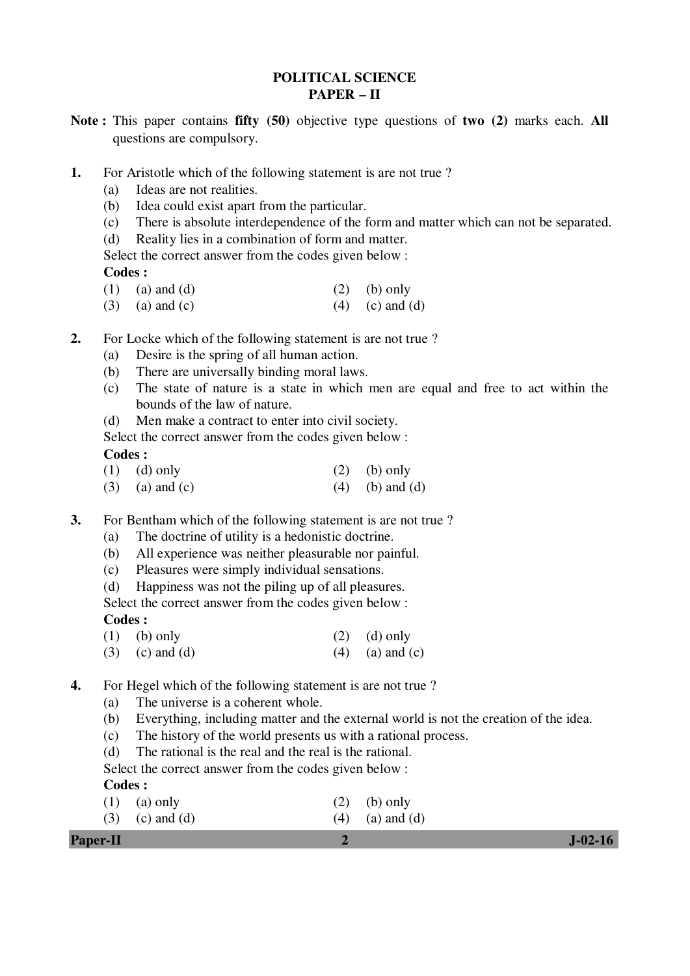## **POLITICAL SCIENCE PAPER – II**

- **Note :** This paper contains **fifty (50)** objective type questions of **two (2)** marks each. **All** questions are compulsory.
- **1.** For Aristotle which of the following statement is are not true ?
	- (a) Ideas are not realities.
	- (b) Idea could exist apart from the particular.
	- (c) There is absolute interdependence of the form and matter which can not be separated.
	- (d) Reality lies in a combination of form and matter.

Select the correct answer from the codes given below :

## **Codes :**

- (1) (a) and (d)  $(2)$  (b) only
- (3) (a) and (c)  $(4)$  (c) and (d)
- **2.** For Locke which of the following statement is are not true ?
	- (a) Desire is the spring of all human action.
	- (b) There are universally binding moral laws.
	- (c) The state of nature is a state in which men are equal and free to act within the bounds of the law of nature.
	- (d) Men make a contract to enter into civil society.

Select the correct answer from the codes given below :

 **Codes :** 

- (1) (d) only (2) (b) only
- (3) (a) and (c)  $(4)$  (b) and (d)
- **3.** For Bentham which of the following statement is are not true ?
	- (a) The doctrine of utility is a hedonistic doctrine.
	- (b) All experience was neither pleasurable nor painful.
	- (c) Pleasures were simply individual sensations.
	- (d) Happiness was not the piling up of all pleasures.

Select the correct answer from the codes given below :

## **Codes :**

- (1) (b) only (2) (d) only
- (3) (c) and (d)  $(4)$  (a) and (c)
- **4.** For Hegel which of the following statement is are not true ?
	- (a) The universe is a coherent whole.
	- (b) Everything, including matter and the external world is not the creation of the idea.
	- (c) The history of the world presents us with a rational process.
	- (d) The rational is the real and the real is the rational.

Select the correct answer from the codes given below :

## **Codes :**

- (1) (a) only (2) (b) only
- (3) (c) and (d)  $(4)$  (a) and (d)

| <b>Paper-II</b> |  | $J-02-16$ |
|-----------------|--|-----------|
|-----------------|--|-----------|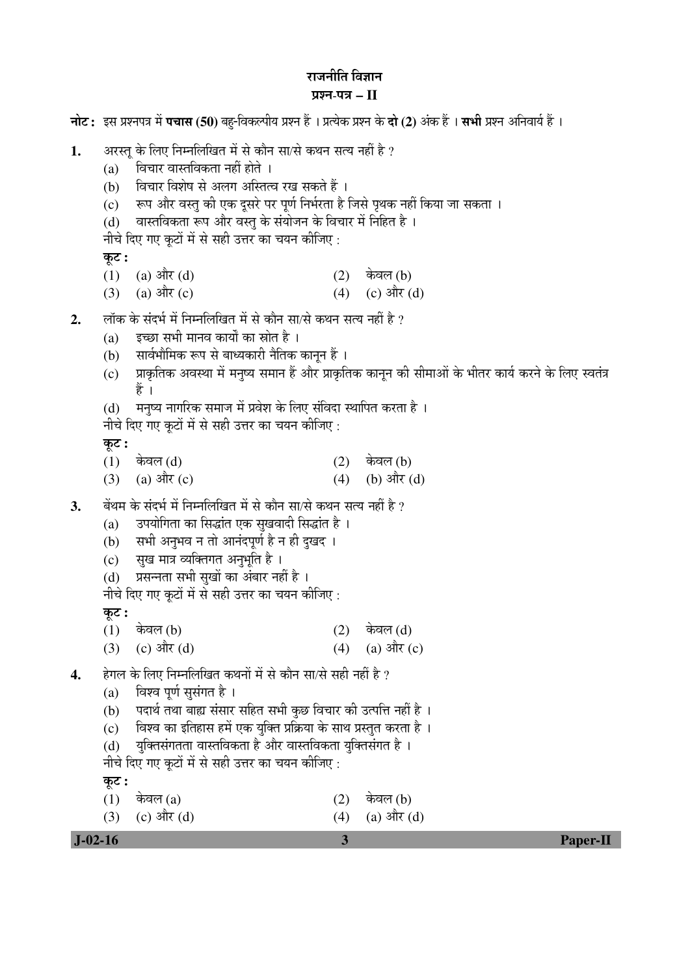## राजनीति $6$ विज्ञान प्रश्न-पत्र – II

|    | नोट: इस प्रश्नपत्र में <b>पचास (50)</b> बहु-विकल्पीय प्रश्न हैं । प्रत्येक प्रश्न के <b>दो (2)</b> अंक हैं । <b>सभी</b> प्रश्न अनिवार्य हैं ।                                                                                                                                                                                                                                |            |                                                                                                      |  |  |  |  |  |  |
|----|------------------------------------------------------------------------------------------------------------------------------------------------------------------------------------------------------------------------------------------------------------------------------------------------------------------------------------------------------------------------------|------------|------------------------------------------------------------------------------------------------------|--|--|--|--|--|--|
| 1. | अरस्त् के लिए निम्नलिखित में से कौन सा/से कथन सत्य नहीं है ?<br>विचार वास्तविकता नहीं होते ।<br>(a)<br>विचार विशेष से अलग अस्तित्व रख सकते हैं ।<br>(b)<br>रूप और वस्तु की एक दूसरे पर पूर्ण निर्भरता है जिसे पृथक नहीं किया जा सकता ।<br>(c)<br>वास्तविकता रूप और वस्तु के संयोजन के विचार में निहित है।<br>(d)<br>नीचे दिए गए कूटों में से सही उत्तर का चयन कीजिए :        |            |                                                                                                      |  |  |  |  |  |  |
|    | कूट :<br>(a) और $(d)$<br>(1)<br>$(3)$ (a) और (c)                                                                                                                                                                                                                                                                                                                             | (4)        | $(2)$ केवल (b)<br>(c) और $(d)$                                                                       |  |  |  |  |  |  |
| 2. | लॉक के संदर्भ में निम्नलिखित में से कौन सा/से कथन सत्य नहीं है ?<br>इच्छा सभी मानव कार्यों का स्रोत है ।<br>(a)<br>सार्वभौमिक रूप से बाध्यकारी नैतिक कानून हैं ।<br>(b)<br>(c)<br>हैं                                                                                                                                                                                        |            | प्राकृतिक अवस्था में मनुष्य समान हैं और प्राकृतिक कानून की सीमाओं के भीतर कार्य करने के लिए स्वतंत्र |  |  |  |  |  |  |
|    | मनुष्य नागरिक समाज में प्रवेश के लिए संविदा स्थापित करता है।<br>(d)<br>नीचे दिए गए कूटों में से सही उत्तर का चयन कीजिए:<br>कूट :                                                                                                                                                                                                                                             |            |                                                                                                      |  |  |  |  |  |  |
|    | केवल (d)<br>(1)<br>$(3)$ (a) और (c)                                                                                                                                                                                                                                                                                                                                          | (2)<br>(4) | केवल (b)<br>(b) और $(d)$                                                                             |  |  |  |  |  |  |
| 3. | बेंथम के संदर्भ में निम्नलिखित में से कौन सा/से कथन सत्य नहीं है ?<br>उपयोगिता का सिद्धांत एक सुखवादी सिद्धांत है ।<br>(a)<br>सभी अनुभव न तो आनंदपूर्ण है न ही दुखद ।<br>(b)<br>(c) सुख मात्र व्यक्तिगत अनुभूति है ।<br>प्रसन्नता सभी सुखों का अंबार नहीं है।<br>(d)<br>नीचे दिए गए कूटों में से सही उत्तर का चयन कीजिए :                                                    |            |                                                                                                      |  |  |  |  |  |  |
|    | कूट :<br>$\tilde{\phantom{0}}$<br>(1)<br>केवल (b)<br>(c) और $(d)$<br>(3)                                                                                                                                                                                                                                                                                                     | (2)<br>(4) | केवल (d)<br>$(a)$ और $(c)$                                                                           |  |  |  |  |  |  |
| 4. | हेगल के लिए निम्नलिखित कथनों में से कौन सा/से सही नहीं है ?<br>विश्व पूर्ण सुसंगत है ।<br>(a)<br>पदार्थ तथा बाह्य संसार सहित सभी कुछ विचार की उत्पत्ति नहीं है ।<br>(b)<br>विश्व का इतिहास हमें एक युक्ति प्रक्रिया के साथ प्रस्तुत करता है ।<br>(c)<br>युक्तिसंगतता वास्तविकता है और वास्तविकता युक्तिसंगत है ।<br>(d)<br>नीचे दिए गए कूटों में से सही उत्तर का चयन कीजिए : |            |                                                                                                      |  |  |  |  |  |  |
|    | कूट :<br>(1)<br>केवल $(a)$<br>(c) और $(d)$<br>(3)                                                                                                                                                                                                                                                                                                                            | (2)<br>(4) | केवल (b)<br>$(a)$ और $(d)$                                                                           |  |  |  |  |  |  |

 **J-02-16 3 Paper-II**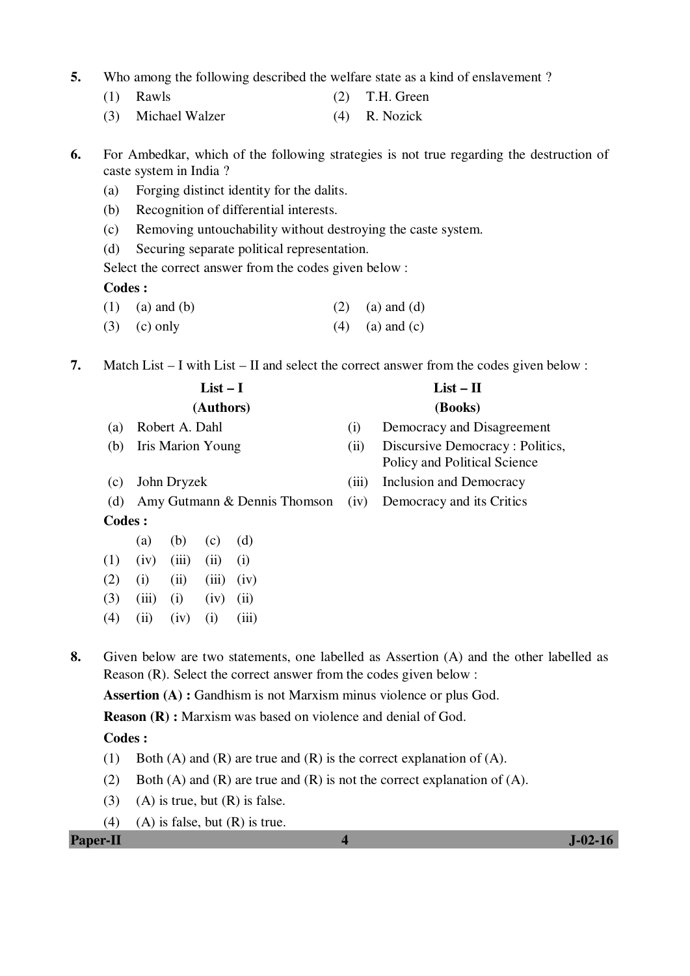- **5.** Who among the following described the welfare state as a kind of enslavement ?
	- (1) Rawls (2) T.H. Green
	- (3) Michael Walzer (4) R. Nozick

**6.** For Ambedkar, which of the following strategies is not true regarding the destruction of caste system in India ?

- (a) Forging distinct identity for the dalits.
- (b) Recognition of differential interests.
- (c) Removing untouchability without destroying the caste system.
- (d) Securing separate political representation.

Select the correct answer from the codes given below :

### **Codes :**

- (1) (a) and (b) (2) (a) and (d)
- (3) (c) only (4) (a) and (c)
- **7.** Match List I with List II and select the correct answer from the codes given below :

|                   |       |                          | $List-I$  |                              | $List - II$ |                                                                 |  |  |  |
|-------------------|-------|--------------------------|-----------|------------------------------|-------------|-----------------------------------------------------------------|--|--|--|
|                   |       |                          | (Authors) |                              | (Books)     |                                                                 |  |  |  |
| (a)               |       | Robert A. Dahl           |           |                              | (i)         | Democracy and Disagreement                                      |  |  |  |
| (b)               |       | <b>Iris Marion Young</b> |           |                              | (ii)        | Discursive Democracy: Politics,<br>Policy and Political Science |  |  |  |
| (c)               |       | John Dryzek              |           |                              | (iii)       | Inclusion and Democracy                                         |  |  |  |
| (d)               |       |                          |           | Amy Gutmann & Dennis Thomson | (iv)        | Democracy and its Critics                                       |  |  |  |
| Codes :           |       |                          |           |                              |             |                                                                 |  |  |  |
|                   | (a)   | (b)                      | (c)       | (d)                          |             |                                                                 |  |  |  |
| (1)               | (iv)  | (iii)                    | (ii)      | (i)                          |             |                                                                 |  |  |  |
| (2)               | (i)   | (ii)                     | (iii)     | (iv)                         |             |                                                                 |  |  |  |
| (3)               | (iii) | (i)                      | (iv)      | (ii)                         |             |                                                                 |  |  |  |
| $\left( 4\right)$ | (ii)  | (iv)                     | (i)       | (iii)                        |             |                                                                 |  |  |  |

**8.** Given below are two statements, one labelled as Assertion (A) and the other labelled as Reason (R). Select the correct answer from the codes given below :

**Assertion (A) :** Gandhism is not Marxism minus violence or plus God.

**Reason (R) :** Marxism was based on violence and denial of God.

### **Codes :**

- (1) Both (A) and (R) are true and (R) is the correct explanation of (A).
- (2) Both (A) and (R) are true and (R) is not the correct explanation of (A).
- (3) (A) is true, but  $(R)$  is false.
- (4) (A) is false, but  $(R)$  is true.

## **Paper-II 1**-02-16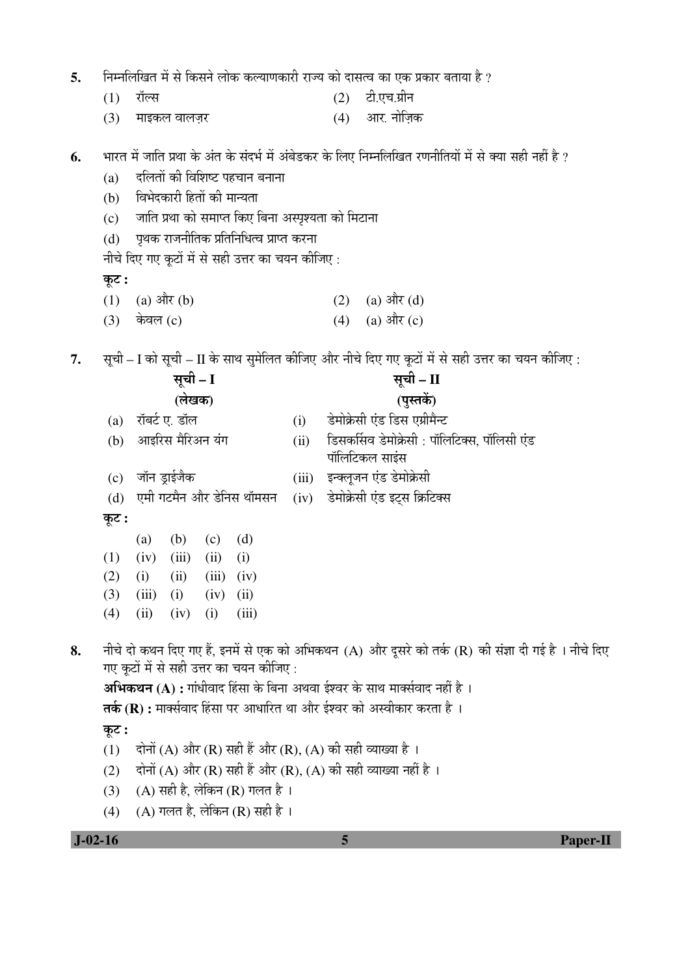|  |  | िनम्नलिखित में से किसने लोक कल्याणकारी राज्य को दासत्व का एक प्रकार बताया है ? |  |  |  |
|--|--|--------------------------------------------------------------------------------|--|--|--|
|  |  |                                                                                |  |  |  |

 $(1)$  रॉल्स (2) टी.एच.ग्रीन

(3) ´ÖÖ‡Ûú»Ö ¾ÖÖ»Ö•Ö̸ü (4) †Ö¸. ®ÖÖêוÖÌÛú

**6.** भारत में जाति प्रथा के अंत के संदर्भ में अंबेडकर के लिए निम्नलिखित रणनीतियों में से क्या सही नहीं है ?

- $(a)$  दलितों की विशिष्ट पहचान बनाना
- (b) विभेदकारी हितों की मान्यता
- (c) जाति प्रथा को समाप्त किए बिना अस्पृश्यता को मिटाना
- $(d)$  पृथक राजनीतिक प्रतिनिधित्व प्राप्त करना

नीचे दिए गए कूटों में से सही उत्तर का चयन कीजिए :

## <u>क</u>ूट :

- (1) (a)  $\frac{d\vec{r}}{dt}$  (b) (2) (a)  $\frac{d\vec{r}}{dt}$  (d)
- $(3)$  केवल (c)  $(4)$   $(4)$   $(3)$  और (c)
- 7. सूची I को सूची II के साथ सुमेलित कीजिए और नीचे दिए गए कूटों में से सही उत्तर का चयन कीजिए :

|    |       |       | सूची – I         |       |                                          |       | सूची – II                                                                                                                                                                                                                                                                   |
|----|-------|-------|------------------|-------|------------------------------------------|-------|-----------------------------------------------------------------------------------------------------------------------------------------------------------------------------------------------------------------------------------------------------------------------------|
|    |       |       | (लेखक)           |       |                                          |       | (पुस्तकें)                                                                                                                                                                                                                                                                  |
|    | (a)   |       | रॉबर्ट ए. डॉल    |       |                                          | (i)   | डेमोक्रेसी एंड डिस एग्रीमैन्ट                                                                                                                                                                                                                                               |
|    | (b)   |       | आइरिस मैरिअन यंग |       |                                          | (ii)  | डिसकर्सिव डेमोक्रेसी : पॉलिटिक्स, पॉलिसी एंड<br>पॉलिटिकल साइंस                                                                                                                                                                                                              |
|    | (c)   |       | जॉन ड्राईजैक     |       |                                          | (iii) | इन्क्लूजन एंड डेमोक्रेसी                                                                                                                                                                                                                                                    |
|    | (d)   |       |                  |       | एमी गटमैन और डेनिस थॉमसन                 | (iv)  | डेमोक्रेसी एंड इट्स क्रिटिक्स                                                                                                                                                                                                                                               |
|    | कूट : |       |                  |       |                                          |       |                                                                                                                                                                                                                                                                             |
|    |       | (a)   | (b)              | (c)   | (d)                                      |       |                                                                                                                                                                                                                                                                             |
|    | (1)   | (iv)  | (iii)            | (ii)  | (i)                                      |       |                                                                                                                                                                                                                                                                             |
|    | (2)   | (i)   | (ii)             | (iii) | (iv)                                     |       |                                                                                                                                                                                                                                                                             |
|    | (3)   | (iii) | (i)              | (iv)  | (ii)                                     |       |                                                                                                                                                                                                                                                                             |
|    | (4)   | (ii)  | (iv)             | (i)   | (iii)                                    |       |                                                                                                                                                                                                                                                                             |
| 8. |       |       |                  |       | गए कूटों में से सही उत्तर का चयन कीजिए : |       | नीचे दो कथन दिए गए हैं, इनमें से एक को अभिकथन (A) और दूसरे को तर्क (R) की संज्ञा दी गई है । नीचे दिए<br><b>अभिकथन (A) :</b> गांधीवाद हिंसा के बिना अथवा ईश्वर के साथ मार्क्सवाद नहीं है ।<br><b>तर्क (R) :</b> मार्क्सवाद हिंसा पर आधारित था और ईश्वर को अस्वीकार करता है । |
|    | कूट : |       |                  |       |                                          |       |                                                                                                                                                                                                                                                                             |
|    | (1)   |       |                  |       |                                          |       | दोनों (A) और (R) सही हैं और (R), (A) की सही व्याख्या है ।                                                                                                                                                                                                                   |
|    | (2)   |       |                  |       |                                          |       | दोनों (A) और (R) सही हैं और (R), (A) की सही व्याख्या नहीं है ।                                                                                                                                                                                                              |
|    | (3)   |       |                  |       | (A) सही है, लेकिन (R) गलत है ।           |       |                                                                                                                                                                                                                                                                             |
|    |       |       |                  |       |                                          |       |                                                                                                                                                                                                                                                                             |
|    | (4)   |       |                  |       | $(A)$ गलत है, लेकिन (R) सही है।          |       |                                                                                                                                                                                                                                                                             |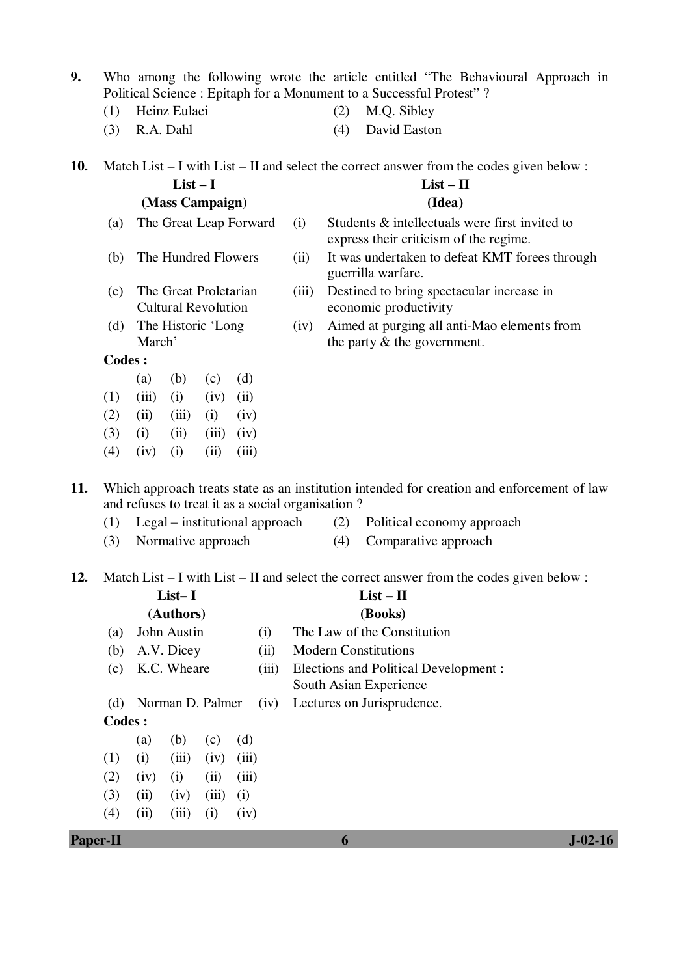- **9.** Who among the following wrote the article entitled "The Behavioural Approach in Political Science : Epitaph for a Monument to a Successful Protest" ?
	-
	- (1) Heinz Eulaei (2) M.Q. Sibley
	- (3) R.A. Dahl (4) David Easton

**10.** Match List – I with List – II and select the correct answer from the codes given below :

| $List-I$                   |      | $List - II$                                                                              |
|----------------------------|------|------------------------------------------------------------------------------------------|
| (Mass Campaign)            |      | (Idea)                                                                                   |
| (a) The Great Leap Forward | (i)  | Students & intellectuals were first invited to<br>express their criticism of the regime. |
| (b) The Hundred Flowers    | (11) | It was undertaken to defeat KMT forees through                                           |

- (c) The Great Proletarian Cultural Revolution
- (d) The Historic 'Long March'
- guerrilla warfare.
- (iii) Destined to bring spectacular increase in economic productivity
- (iv) Aimed at purging all anti-Mao elements from the party & the government.

**Codes :** 

- (a) (b) (c) (d)  $(1)$   $(iii)$   $(i)$   $(iv)$   $(ii)$
- $(2)$   $(ii)$   $(iii)$   $(i)$   $(iv)$
- $(3)$  (i) (iii) (iii) (iv)
- $(4)$   $(iv)$   $(i)$   $(ii)$   $(iii)$

**11.** Which approach treats state as an institution intended for creation and enforcement of law and refuses to treat it as a social organisation ?

- (1) Legal institutional approach (2) Political economy approach
- (3) Normative approach (4) Comparative approach
- -

**12.** Match List – I with List – II and select the correct answer from the codes given below :

|         |                          | $List-I$    |       |                                                                 |      | $List - II$                 |
|---------|--------------------------|-------------|-------|-----------------------------------------------------------------|------|-----------------------------|
|         |                          | (Authors)   |       |                                                                 |      | (Books)                     |
| (a)     |                          | John Austin |       | (i)                                                             |      | The Law of the Constitution |
| (b)     |                          | A.V. Dicey  |       |                                                                 | (ii) | <b>Modern Constitutions</b> |
| (c)     | K.C. Wheare<br>(iii)     |             |       | Elections and Political Development :<br>South Asian Experience |      |                             |
| (d)     | Norman D. Palmer<br>(iv) |             |       |                                                                 |      | Lectures on Jurisprudence.  |
| Codes : |                          |             |       |                                                                 |      |                             |
|         | (a)                      | (b)         | (c)   | (d)                                                             |      |                             |
| (1)     | (i)                      | (iii)       | (iv)  | (iii)                                                           |      |                             |
| (2)     | (iv)                     | (i)         | (ii)  | (iii)                                                           |      |                             |
| (3)     | (ii)                     | (iv)        | (iii) | (i)                                                             |      |                             |
| (4)     | (ii)                     | (111)       | (i)   | (iv)                                                            |      |                             |

**Paper-II 6 J-02-16**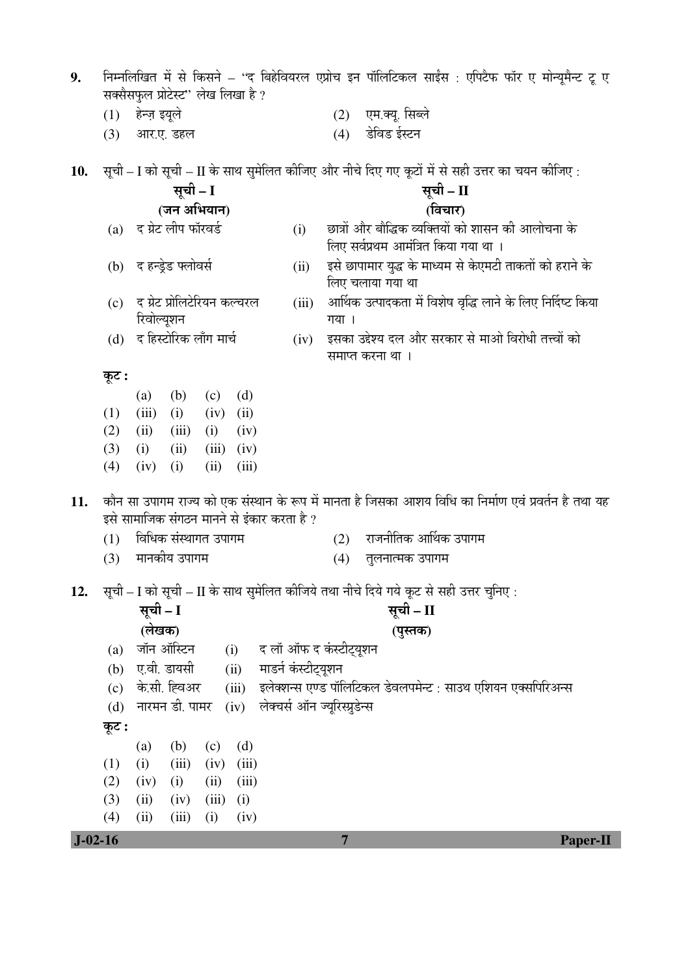|     | (1)   | हेन्ज़ इयूले |                                            |       |                |                     | (2)                           | एम.क्यू. सिब्ले                                                                                 |           |  |                                                                                                       |
|-----|-------|--------------|--------------------------------------------|-------|----------------|---------------------|-------------------------------|-------------------------------------------------------------------------------------------------|-----------|--|-------------------------------------------------------------------------------------------------------|
|     | (3)   |              | आर.ए. डहल                                  |       |                |                     | (4)                           | डेविड ईस्टन                                                                                     |           |  |                                                                                                       |
|     |       |              |                                            |       |                |                     |                               |                                                                                                 |           |  |                                                                                                       |
| 10. |       |              |                                            |       |                |                     |                               | सूची – I को सूची – II के साथ सुमेलित कीजिए और नीचे दिए गए कूटों में से सही उत्तर का चयन कीजिए : |           |  |                                                                                                       |
|     |       |              | सूची – I                                   |       |                |                     |                               |                                                                                                 | सूची – II |  |                                                                                                       |
|     |       |              | (जन अभियान)                                |       |                |                     |                               |                                                                                                 | (विचार)   |  |                                                                                                       |
|     | (a)   |              | द ग्रेट लीप फॉरवर्ड                        |       |                | (i)                 |                               | छात्रों और बौद्धिक व्यक्तियों को शासन की आलोचना के                                              |           |  |                                                                                                       |
|     |       |              |                                            |       |                |                     |                               | लिए सर्वप्रथम आमंत्रित किया गया था ।                                                            |           |  |                                                                                                       |
|     |       |              | (b) द हन्ड्रेड फ्लोवर्स                    |       |                | (ii)                |                               | इसे छापामार युद्ध के माध्यम से केएमटी ताकतों को हराने के                                        |           |  |                                                                                                       |
|     |       |              |                                            |       |                |                     |                               | लिए चलाया गया था                                                                                |           |  |                                                                                                       |
|     | (c)   |              | द ग्रेट प्रोलिटेरियन कल्चरल                |       |                | (iii)               |                               |                                                                                                 |           |  | आर्थिक उत्पादकता में विशेष वृद्धि लाने के लिए निर्दिष्ट किया                                          |
|     |       | रिवोल्यूशन   |                                            |       |                |                     | गया ।                         |                                                                                                 |           |  |                                                                                                       |
|     | (d)   |              | द हिस्टोरिक लाँग मार्च                     |       |                | (iv)                |                               | इसका उद्देश्य दल और सरकार से माओ विरोधी तत्त्वों को                                             |           |  |                                                                                                       |
|     |       |              |                                            |       |                |                     |                               | समाप्त करना था ।                                                                                |           |  |                                                                                                       |
|     | कूट : |              |                                            |       |                |                     |                               |                                                                                                 |           |  |                                                                                                       |
|     |       | (a)          | (b)                                        | (c)   | (d)            |                     |                               |                                                                                                 |           |  |                                                                                                       |
|     | (1)   | (iii)        | (i)                                        | (iv)  | (ii)           |                     |                               |                                                                                                 |           |  |                                                                                                       |
|     | (2)   | (ii)         | (iii)                                      | (i)   | (iv)           |                     |                               |                                                                                                 |           |  |                                                                                                       |
|     | (3)   | (i)          | (ii)                                       |       | $(iii)$ $(iv)$ |                     |                               |                                                                                                 |           |  |                                                                                                       |
|     | (4)   | (iv)         | (i)                                        | (ii)  | (iii)          |                     |                               |                                                                                                 |           |  |                                                                                                       |
| 11. |       |              |                                            |       |                |                     |                               |                                                                                                 |           |  | कौन सा उपागम राज्य को एक संस्थान के रूप में मानता है जिसका आशय विधि का निर्माण एवं प्रवर्तन है तथा यह |
|     |       |              | इसे सामाजिक संगठन मानने से इंकार करता है ? |       |                |                     |                               |                                                                                                 |           |  |                                                                                                       |
|     | (1)   |              | विधिक संस्थागत उपागम                       |       |                |                     | (2)                           | राजनीतिक आर्थिक उपागम                                                                           |           |  |                                                                                                       |
|     | (3)   |              | मानकीय उपागम                               |       |                |                     | (4)                           | तुलनात्मक उपागम                                                                                 |           |  |                                                                                                       |
|     |       |              |                                            |       |                |                     |                               |                                                                                                 |           |  |                                                                                                       |
| 12. |       |              |                                            |       |                |                     |                               | सूची – I को सूची – II के साथ सुमेलित कीजिये तथा नीचे दिये गये कूट से सही उत्तर चुनिए :          |           |  |                                                                                                       |
|     |       | सूची – I     |                                            |       |                |                     |                               |                                                                                                 | सूची – II |  |                                                                                                       |
|     |       | (लेखक)       |                                            |       |                |                     |                               |                                                                                                 | (पुस्तक)  |  |                                                                                                       |
|     | (a)   |              | जॉन ऑस्टिन                                 |       | (i)            |                     | द लॉ ऑफ द कंस्टीट्यूशन        |                                                                                                 |           |  |                                                                                                       |
|     | (b)   |              | ए.वी. डायसी                                |       | (ii)           | माडर्न कंस्टीट्यूशन |                               |                                                                                                 |           |  |                                                                                                       |
|     | (c)   |              | के.सी. ह्विअर                              |       | (iii)          |                     |                               | इलेक्शन्स एण्ड पॉलिटिकल डेवलपमेन्ट : साउथ एशियन एक्सपिरिअन्स                                    |           |  |                                                                                                       |
|     | (d)   |              | नारमन डी. पामर                             |       | (iv)           |                     | लेक्चर्स ऑन ज्यूरिस्प्रुडेन्स |                                                                                                 |           |  |                                                                                                       |
|     | कूट : |              |                                            |       |                |                     |                               |                                                                                                 |           |  |                                                                                                       |
|     |       | (a)          | (b)                                        | (c)   | (d)            |                     |                               |                                                                                                 |           |  |                                                                                                       |
|     | (1)   | (i)          | (iii)                                      | (iv)  | (iii)          |                     |                               |                                                                                                 |           |  |                                                                                                       |
|     | (2)   | (iv)         | (i)                                        | (ii)  | (iii)          |                     |                               |                                                                                                 |           |  |                                                                                                       |
|     | (3)   | (ii)         | (iv)                                       | (iii) | (i)            |                     |                               |                                                                                                 |           |  |                                                                                                       |
|     | (4)   | (ii)         | (iii)                                      | (i)   | (iv)           |                     |                               |                                                                                                 |           |  |                                                                                                       |

 ${\bf 9.} \quad$  निम्नलिखित में से किसने – ''द बिहेवियरल एप्रोच इन पॉलिटिकल साईंस : एपिटैफ फॉर ए मोन्यूमैन्ट टू ए

सक्सैसफुल प्रोटेस्ट'' लेख लिखा है ?

 **J-02-16 7 Paper-II**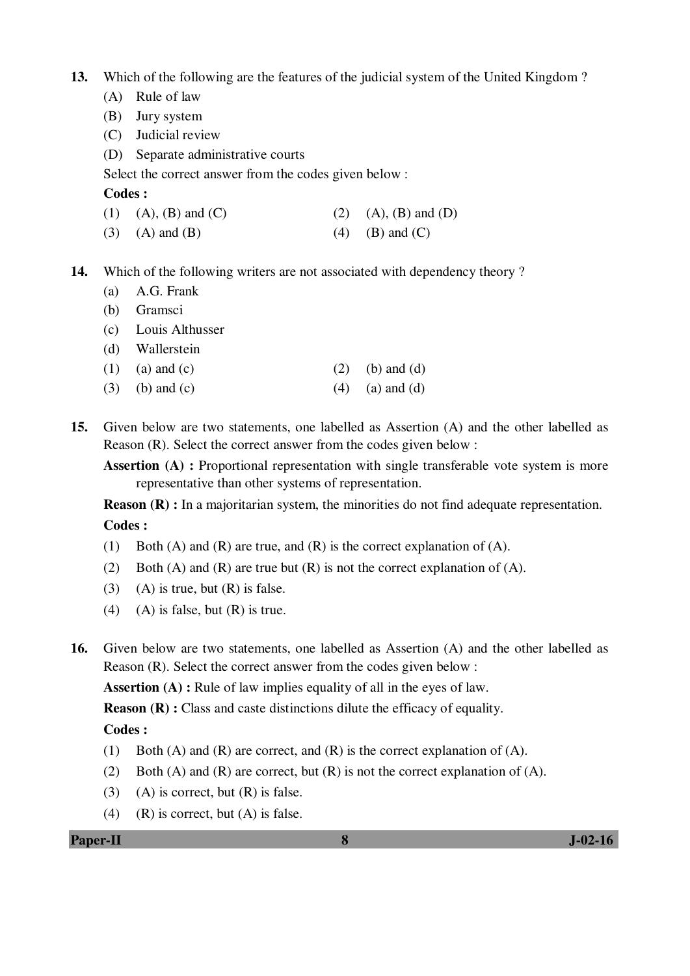- **13.** Which of the following are the features of the judicial system of the United Kingdom ?
	- (A) Rule of law
	- (B) Jury system
	- (C) Judicial review
	- (D) Separate administrative courts

Select the correct answer from the codes given below :

### **Codes :**

- (1) (A), (B) and (C) (2) (A), (B) and (D)
- (3) (A) and (B) (4) (B) and (C)
- **14.** Which of the following writers are not associated with dependency theory ?
	- (a) A.G. Frank
	- (b) Gramsci
	- (c) Louis Althusser
	- (d) Wallerstein
	- (1) (a) and (c)  $(2)$  (b) and (d)
	- (3) (b) and (c)  $(4)$  (a) and (d)
- **15.** Given below are two statements, one labelled as Assertion (A) and the other labelled as Reason (R). Select the correct answer from the codes given below :
	- **Assertion (A) :** Proportional representation with single transferable vote system is more representative than other systems of representation.

**Reason (R) :** In a majoritarian system, the minorities do not find adequate representation.  **Codes :** 

- (1) Both (A) and (R) are true, and (R) is the correct explanation of (A).
- (2) Both (A) and (R) are true but  $(R)$  is not the correct explanation of  $(A)$ .
- (3) (A) is true, but  $(R)$  is false.
- (4) (A) is false, but  $(R)$  is true.
- **16.** Given below are two statements, one labelled as Assertion (A) and the other labelled as Reason (R). Select the correct answer from the codes given below :

**Assertion (A) :** Rule of law implies equality of all in the eyes of law.

**Reason (R) :** Class and caste distinctions dilute the efficacy of equality.

## **Codes :**

- (1) Both (A) and (R) are correct, and (R) is the correct explanation of (A).
- (2) Both (A) and (R) are correct, but  $(R)$  is not the correct explanation of (A).
- (3) (A) is correct, but  $(R)$  is false.
- (4) (R) is correct, but  $(A)$  is false.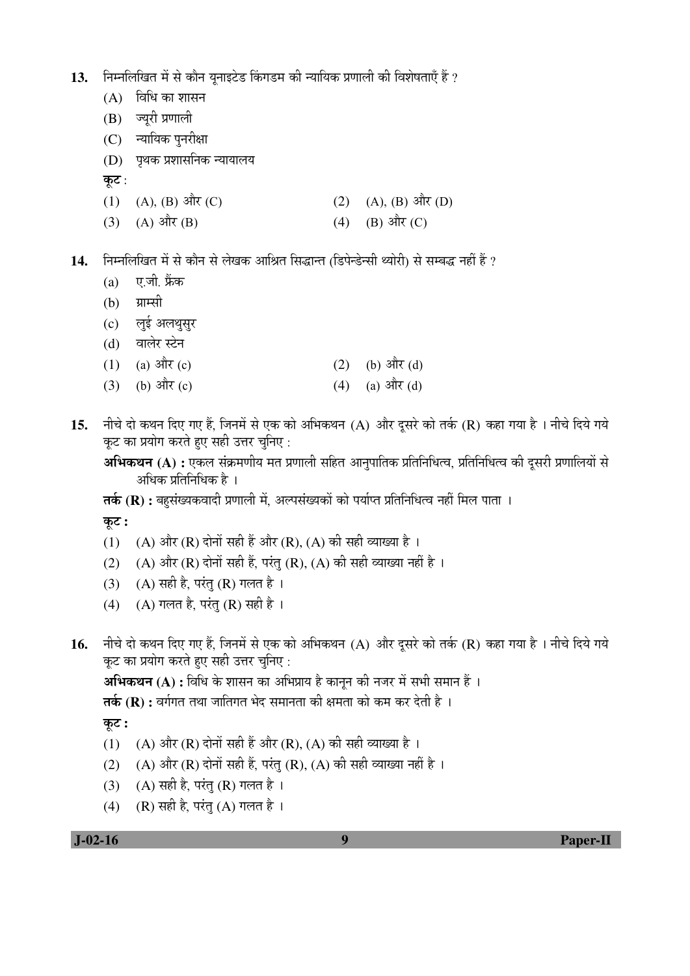13. निम्नलिखित में से कौन यनाइटेड किंगडम की न्यायिक प्रणाली की विशेषताएँ हैं ?

- $(A)$  aিখি का शासन
- $(B)$  ज्युरी प्रणाली
- (C) न्यायिक पुनरीक्षा
- $(D)$  पथक प्रशासनिक न्यायालय
- कूट :
- (1) (A), (B)  $\frac{d\vec{r}}{dt}$  (C) (2) (A), (B)  $\frac{d\vec{r}}{dt}$  (D)
- (3) (A)  $\hat{A}(\hat{B})$  (A)  $\hat{B}(\hat{C})$

**14.** ×®Ö´®Ö×»Ö×ÜÖŸÖ ´Öë ÃÖê ÛúÖî®Ö ÃÖê »ÖêÜÖÛú †Ö×ÁÖŸÖ ×ÃÖ¨üÖ®ŸÖ (×›ü¯Öê®›êü®ÃÖß £µÖÖê¸üß) ÃÖê ÃÖ´²Ö¨ü ®ÖÆüà Æïü ?

- $(a)$  ए.जी. फ्रेंक
- $(b)$  ग्राम्सी
- (c) लई अलथसुर
- (d) वालेर स्टेन
- (1) (a)  $3\pi$  (c) (2) (b)  $3\pi$  (d)
- (3) (b)  $3\pi$ (c) (4) (a)  $3\pi$ (d)
- 15. नीचे दो कथन दिए गए हैं, जिनमें से एक को अभिकथन (A) और दुसरे को तर्क (R) कहा गया है । नीचे दिये गये कूट का प्रयोग करते हुए सही उत्तर चुनिए:

**अभिकथन (A) :** एकल संक्रमणीय मत प्रणाली सहित आनुपातिक प्रतिनिधित्व, प्रतिनिधित्व की दुसरी प्रणालियों से अधिक प्रतिनिधिक है ।

**तर्क (R) :** बहसंख्यकवादी प्रणाली में, अल्पसंख्यकों को पर्याप्त प्रतिनिधित्व नहीं मिल पाता ।

कूट :

- (1) (A) और (R) दोनों सही हैं और (R), (A) की सही व्याख्या है ।
- (2) (A) और (R) दोनों सही हैं, परंतु (R), (A) की सही व्याख्या नहीं है ।
- (3) (A) सही है, परंतु (R) गलत है ।
- (4) (A) गलत है, परंतु (R) सही है।
- $16.$  नीचे दो कथन दिए गए हैं, जिनमें से एक को अभिकथन (A) और दुसरे को तर्क (R) कहा गया है । नीचे दिये गये कूट का प्रयोग करते हुए सही उत्तर चुनिए:

**अभिकथन (A) :** विधि के शासन का अभिप्राय है कानन की नजर में सभी समान हैं ।

**तर्क (R) :** वर्गगत तथा जातिगत भेद समानता की क्षमता को कम कर देती है ।

Ûæú™ü **:** 

- (1) (A) और (R) दोनों सही हैं और (R), (A) की सही व्याख्या है ।
- (2) (A) और (R) दोनों सही हैं, परंतु (R), (A) की सही व्याख्या नहीं है ।
- (3) (A) सही है, परंतु (R) गलत है।
- (4) (R) सही है, परंतु (A) गलत है।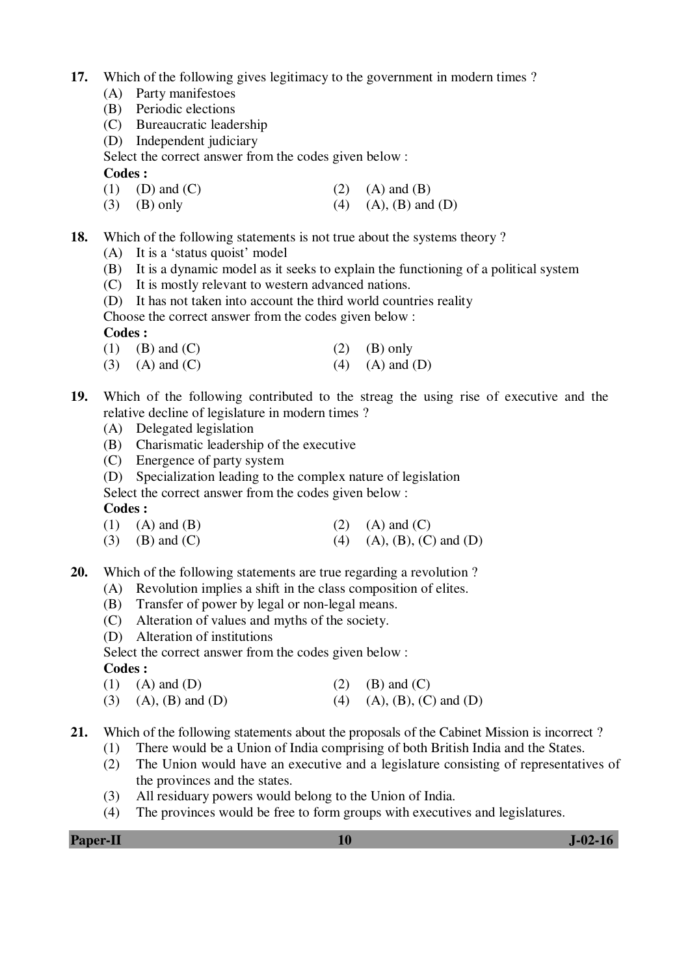- **17.** Which of the following gives legitimacy to the government in modern times ?
	- (A) Party manifestoes
	- (B) Periodic elections
	- (C) Bureaucratic leadership
	- (D) Independent judiciary
	- Select the correct answer from the codes given below :

## **Codes :**

- (1) (D) and (C) (2) (A) and (B)
- (3) (B) only (4) (A), (B) and (D)
- **18.** Which of the following statements is not true about the systems theory ?
	- (A) It is a 'status quoist' model
	- (B) It is a dynamic model as it seeks to explain the functioning of a political system
	- (C) It is mostly relevant to western advanced nations.
	- (D) It has not taken into account the third world countries reality
	- Choose the correct answer from the codes given below :

## **Codes :**

- (1) (B) and (C) (2) (B) only
- (3) (A) and (C) (4) (A) and (D)
- **19.** Which of the following contributed to the streag the using rise of executive and the relative decline of legislature in modern times ?
	- (A) Delegated legislation
	- (B) Charismatic leadership of the executive
	- (C) Energence of party system
	- (D) Specialization leading to the complex nature of legislation

Select the correct answer from the codes given below :

**Codes :** 

- (1) (A) and (B) (2) (A) and (C)
- (3) (B) and (C) (4) (A), (B), (C) and (D)
- **20.** Which of the following statements are true regarding a revolution ?
	- (A) Revolution implies a shift in the class composition of elites.
	- (B) Transfer of power by legal or non-legal means.
	- (C) Alteration of values and myths of the society.
	- (D) Alteration of institutions

Select the correct answer from the codes given below :

**Codes :** 

- (1) (A) and (D) (2) (B) and (C)
- (3) (A), (B) and (D) (4) (A), (B), (C) and (D)
- **21.** Which of the following statements about the proposals of the Cabinet Mission is incorrect ?
	- (1) There would be a Union of India comprising of both British India and the States.
	- (2) The Union would have an executive and a legislature consisting of representatives of the provinces and the states.
	- (3) All residuary powers would belong to the Union of India.
	- (4) The provinces would be free to form groups with executives and legislatures.

**Paper-II** J-02-16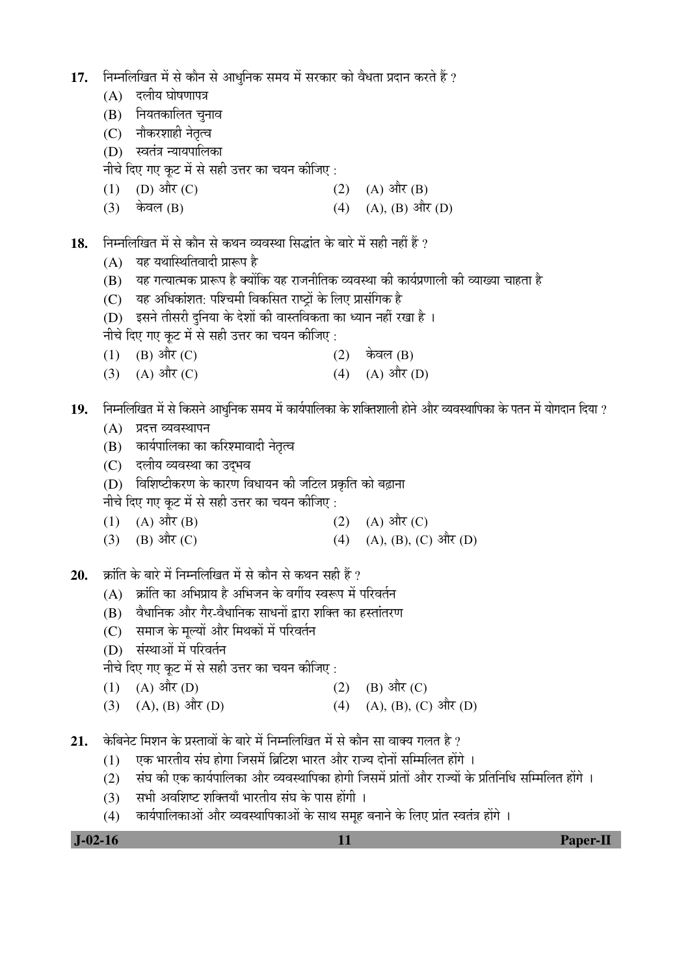- 17. निम्नलिखित में से कौन से आधनिक समय में सरकार को वैधता प्रदान करते हैं ?
	- $(A)$  दलीय घोषणापत्र
	- $(B)$  नियतकालित चुनाव
	- (C) नौकरशाही नेतृत्व
	- (D) स्वतंत्र न्यायपालिका

नीचे दिए गए कुट में से सही उत्तर का चयन कीजिए :

- (1) (D)  $\frac{\partial \hat{\mathbf{r}}}{\partial t}$  (C) (A)  $\frac{\partial \hat{\mathbf{r}}}{\partial t}$
- (3) केवल (B) (4) (A), (B) और (D)
- 18. Fiमलिखित में से कौन से कथन व्यवस्था सिद्धांत के बारे में सही नहीं हैं ?
	- $(A)$  यह यथास्थितिवादी प्रारूप है
	- $(B)$  यह गत्यात्मक प्रारूप है क्योंकि यह राजनीतिक व्यवस्था की कार्यप्रणाली की व्याख्या चाहता है
	- $(C)$  यह अधिकांशत: पश्चिमी विकसित राष्टों के लिए प्रासंगिक है
	- (D) इसने तीसरी दुनिया के देशों की वास्तविकता का ध्यान नहीं रखा है ।
	- नीचे दिए गए कुट में से सही उत्तर का चयन कीजिए :
	- $(1)$   $(B)$  और  $(C)$  (2) केवल  $(B)$
	- (3) (A)  $\exists \hat{\mathbb{T}}(C)$  (4) (A)  $\exists \hat{\mathbb{T}}(D)$
- **19.** ×®Ö´®Ö×»Ö×ÜÖŸÖ ´Öë ÃÖê ×ÛúÃÖ®Öê †Ö¬Öã×®ÖÛú ÃÖ´ÖµÖ ´Öë ÛúÖµÖÔ¯ÖÖ×»ÖÛúÖ Ûêú ¿Ö׌ŸÖ¿ÖÖ»Öß ÆüÖê®Öê †Öî¸ü ¾µÖ¾ÖãÖÖׯÖÛúÖ Ûêú ¯ÖŸÖ®Ö ´Öë µÖÖêÝÖ¤üÖ®Ö ×¤üµÖÖ ?
	- $(A)$  प्रदत्त व्यवस्थापन
	- (B) कार्यपालिका का करिश्मावादी नेतृत्व
	- (C) दलीय व्यवस्था का उदभव
	- $(D)$  विशिष्टीकरण के कारण विधायन की जटिल प्रकृति को बढ़ाना

नीचे दिए गए कुट में से सही उत्तर का चयन कीजिए :

- (1) (A)  $\hat{A}(\hat{B})$  (2) (A)  $\hat{A}(\hat{C})$
- (3) (B)  $\frac{\partial \hat{\mathbf{H}}}{\partial t}$  (C) (4) (A), (B), (C)  $\frac{\partial \hat{\mathbf{H}}}{\partial t}$  (D)
- 20. **क्रांति के बारे में निम्नलिखित में से** कौन से कथन सही हैं ?
	- $(A)$  क्रांति का अभिप्राय है अभिजन के वर्गीय स्वरूप में परिवर्तन
	- (B) वैधानिक और गैर-वैधानिक साधनों द्वारा शक्ति का हस्तांतरण
	- (C) समाज के मुल्यों और मिथकों में परिवर्तन
	- (D) संस्थाओं में परिवर्तन
	- नीचे दिए गए कट में से सही उत्तर का चयन कीजिए :
	- (1) (A)  $\hat{P}(\overline{D})$  (2) (B)  $\hat{P}(\overline{C})$
	- (3) (A), (B)  $\frac{d\vec{r}}{dt}$  (D) (4) (A), (B), (C)  $\frac{d\vec{r}}{dt}$  (D)
- 21. केबिनेट मिशन के प्रस्तावों के बारे में निम्नलिखित में से कौन सा वाक्य गलत है ?
	- $(1)$  एक भारतीय संघ होगा जिसमें ब्रिटिश भारत और राज्य दोनों सम्मिलित होंगे ।
	- (2) संघ की एक कार्यपालिका और व्यवस्थापिका होगी जिसमें प्रांतों और राज्यों के प्रतिनिधि सम्मिलित होंगे ।
	- $(3)$  सभी अवशिष्ट शक्तियाँ भारतीय संघ के पास होंगी ।
	- (4) कार्यपालिकाओं और व्यवस्थापिकाओं के साथ समूह बनाने के लिए प्रांत स्वतंत्र होंगे ।

 **J-02-16 11 Paper-II**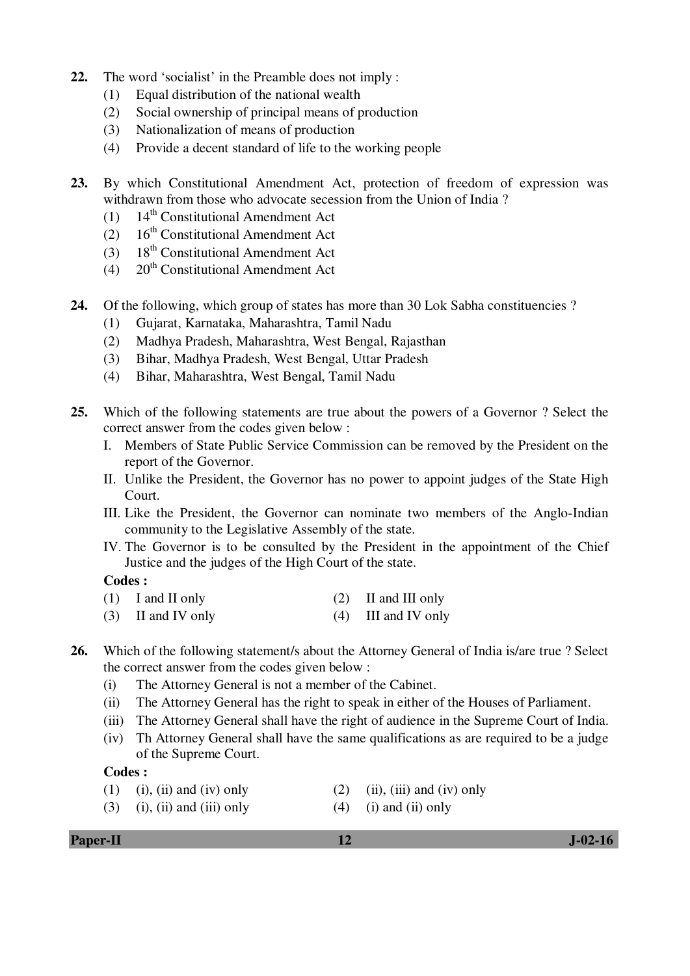- **22.** The word 'socialist' in the Preamble does not imply :
	- (1) Equal distribution of the national wealth
	- (2) Social ownership of principal means of production
	- (3) Nationalization of means of production
	- (4) Provide a decent standard of life to the working people
- **23.** By which Constitutional Amendment Act, protection of freedom of expression was withdrawn from those who advocate secession from the Union of India ?
	- (1)  $14<sup>th</sup>$  Constitutional Amendment Act
	- (2)  $16<sup>th</sup>$  Constitutional Amendment Act
	- (3)  $18<sup>th</sup>$  Constitutional Amendment Act
	- (4)  $20<sup>th</sup>$  Constitutional Amendment Act
- **24.** Of the following, which group of states has more than 30 Lok Sabha constituencies ?
	- (1) Gujarat, Karnataka, Maharashtra, Tamil Nadu
	- (2) Madhya Pradesh, Maharashtra, West Bengal, Rajasthan
	- (3) Bihar, Madhya Pradesh, West Bengal, Uttar Pradesh
	- (4) Bihar, Maharashtra, West Bengal, Tamil Nadu
- **25.** Which of the following statements are true about the powers of a Governor ? Select the correct answer from the codes given below :
	- I. Members of State Public Service Commission can be removed by the President on the report of the Governor.
	- II. Unlike the President, the Governor has no power to appoint judges of the State High Court.
	- III. Like the President, the Governor can nominate two members of the Anglo-Indian community to the Legislative Assembly of the state.
	- IV. The Governor is to be consulted by the President in the appointment of the Chief Justice and the judges of the High Court of the state.

## **Codes :**

- (1) I and II only (2) II and III only
- (3) II and IV only (4) III and IV only

## **26.** Which of the following statement/s about the Attorney General of India is/are true ? Select the correct answer from the codes given below :

- (i) The Attorney General is not a member of the Cabinet.
- (ii) The Attorney General has the right to speak in either of the Houses of Parliament.
- (iii) The Attorney General shall have the right of audience in the Supreme Court of India.
- (iv) Th Attorney General shall have the same qualifications as are required to be a judge of the Supreme Court.

## **Codes :**

- (1) (i), (ii) and (iv) only (2) (ii), (iii) and (iv) only
	-
- (3) (i), (ii) and (iii) only (4) (i) and (ii) only
	-

**Paper-II** J-02-16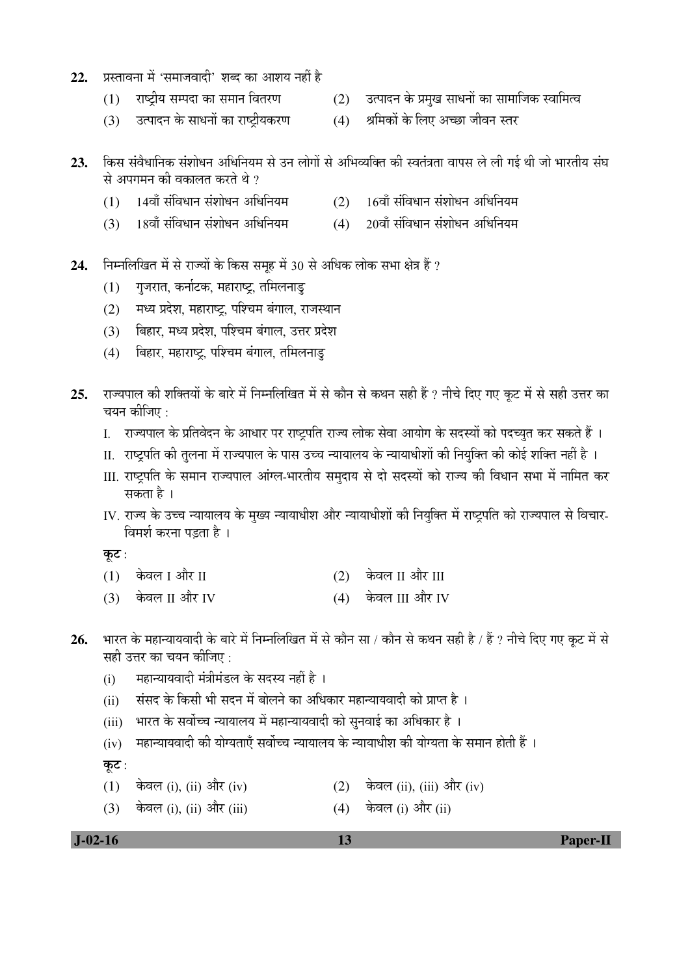- 22. प्रस्तावना में 'समाजवादी' शब्द का आशय नहीं है
	-
	- $(1)$  ) राष्टीय सम्पदा का समान वितरण  $(2)$  उत्पादन के प्रमख साधनों का सामाजिक स्वामित्व
	- $(3)$  उत्पादन के साधनों का राष्ट्रीयकरण  $(4)$  श्रमिकों के लिए अच्छा जीवन स्तर
- 23. किस संवैधानिक संशोधन अधिनियम से उन लोगों से अभिव्यक्ति की स्वतंत्रता वापस ले ली गई थी जो भारतीय संघ से अपगमन की वकालत करते थे ?
	- $(1)$  14वाँ संविधान संशोधन अधिनियम  $(2)$  16वाँ संविधान संशोधन अधिनियम
	- $(3)$   $18$ वाँ संविधान संशोधन अधिनियम  $(4)$   $20$ वाँ संविधान संशोधन अधिनियम
- 24. Fiम्नलिखित में से राज्यों के किस समूह में 30 से अधिक लोक सभा क्षेत्र हैं ?
	- $(1)$  गुजरात, कर्नाटक, महाराष्ट्र, तमिलनाडु
	- (2) मध्य प्रदेश, महाराष्ट्र, पश्चिम बंगाल, राजस्थान
	- (3) बिहार, मध्य प्रदेश, पश्चिम बंगाल, उत्तर प्रदेश
	- (4) बिहार, महाराष्ट, पश्चिम बंगाल, तमिलनाड
- 25. राज्यपाल की शक्तियों के बारे में निम्नलिखित में से कौन से कथन सही हैं ? नीचे दिए गए कूट में से सही उत्तर का चयन कीजिए :
	- I. ∑राज्यपाल के प्रतिवेदन के आधार पर राष्ट्रपति राज्य लोक सेवा आयोग के सदस्यों को पदच्युत कर सकते हैं ।
	- II. राष्ट्रपति की तुलना में राज्यपाल के पास उच्च न्यायालय के न्यायाधीशों की नियुक्ति की कोई शक्ति नहीं है ।
	- III. राष्ट्रपति के समान राज्यपाल आंग्ल-भारतीय समुदाय से दो सदस्यों को राज्य की विधान सभा में नामित कर सकता है ।
	- IV. राज्य के उच्च न्यायालय के मुख्य न्यायाधीश और न्यायाधीशों की नियुक्ति में राष्ट्रपति को राज्यपाल से विचार-विमर्श करना पडता है।

कूट:

- $(1)$  केवल I और II  $(2)$  केवल II और III
- $(3)$  केवल II और IV  $(4)$  केवल III और IV
- 26. भारत के महान्यायवादी के बारे में निम्नलिखित में से कौन सा / कौन से कथन सही है / हैं ? नीचे दिए गए कूट में से सही उत्तर का चयन कीजिए :
	- (i) महान्यायवादी मंत्रीमंडल के सदस्य नहीं है ।
	- (ii) संसद के किसी भी सदन में बोलने का अधिकार महान्यायवादी को प्राप्त है ।
	- (iii) भारत के सर्वोच्च न्यायालय में महान्यायवादी को सुनवाई का अधिकार है ।
	- $(iv)$  गहान्यायवादी की योग्यताएँ सर्वोच्च न्यायालय के न्यायाधीश की योग्यता के समान होती हैं ।

कूट:

- (1) केवल (i), (ii) और (iv)  $(2)$  केवल (ii), (iii) और (iv)
- (3) केवल (i), (ii) और (iii)  $(4)$  केवल (i) और (ii)

 **J-02-16 13 Paper-II**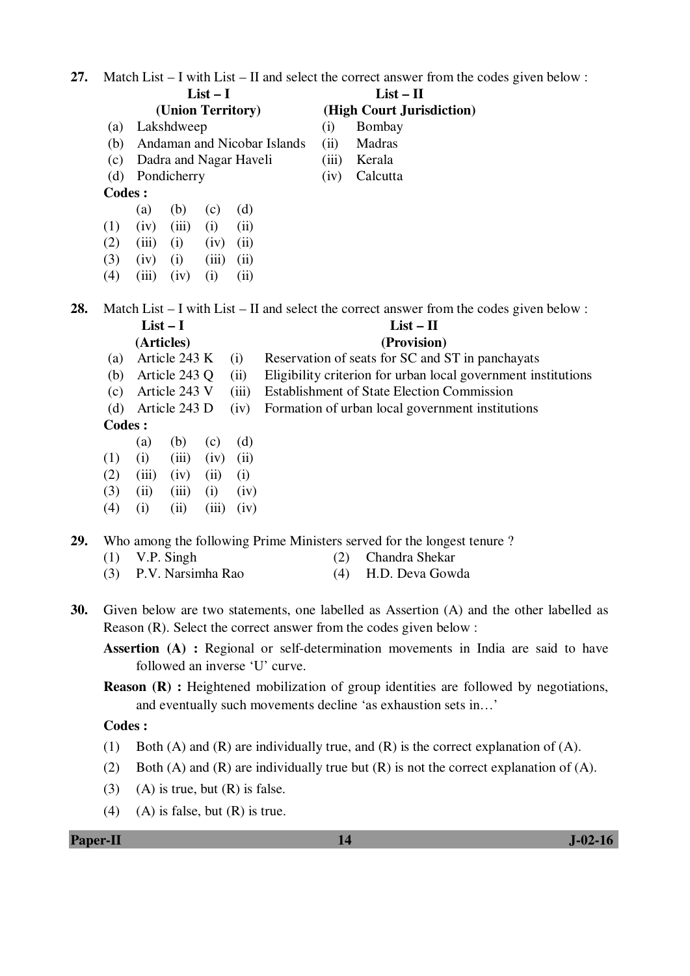| 27. |               |                                    |          |       |                                                   | Match List $-$ I with List $-$ II and select the correct answer from the codes given below :                                                                  |  |  |  |  |
|-----|---------------|------------------------------------|----------|-------|---------------------------------------------------|---------------------------------------------------------------------------------------------------------------------------------------------------------------|--|--|--|--|
|     |               |                                    | $List-I$ |       | $List - II$                                       |                                                                                                                                                               |  |  |  |  |
|     |               | (Union Territory)                  |          |       |                                                   | (High Court Jurisdiction)                                                                                                                                     |  |  |  |  |
|     | (a)           | Lakshdweep                         |          |       | (i)                                               | Bombay                                                                                                                                                        |  |  |  |  |
|     | (b)           | Andaman and Nicobar Islands        |          |       | (ii)                                              | Madras                                                                                                                                                        |  |  |  |  |
|     | (c)           | Dadra and Nagar Haveli             |          |       | (iii)                                             | Kerala                                                                                                                                                        |  |  |  |  |
|     | (d)           | Pondicherry                        |          |       | (iv)                                              | Calcutta                                                                                                                                                      |  |  |  |  |
|     | <b>Codes:</b> |                                    |          |       |                                                   |                                                                                                                                                               |  |  |  |  |
|     |               | (b)<br>(a)                         | (c)      | (d)   |                                                   |                                                                                                                                                               |  |  |  |  |
|     | (1)           | (iii)<br>(iv)                      | (i)      | (ii)  |                                                   |                                                                                                                                                               |  |  |  |  |
|     | (2)           | (iii)<br>(i)                       | (iv)     | (ii)  |                                                   |                                                                                                                                                               |  |  |  |  |
|     | (3)           | (iv)<br>(i)                        | (iii)    | (ii)  |                                                   |                                                                                                                                                               |  |  |  |  |
|     | (4)           | (iv)<br>(iii)                      | (i)      | (ii)  |                                                   |                                                                                                                                                               |  |  |  |  |
| 28. |               |                                    |          |       |                                                   | Match List – I with List – II and select the correct answer from the codes given below:                                                                       |  |  |  |  |
|     |               | $List-I$                           |          |       |                                                   | $List - II$                                                                                                                                                   |  |  |  |  |
|     |               | (Articles)                         |          |       |                                                   | (Provision)                                                                                                                                                   |  |  |  |  |
|     | (a)           | Article 243 K                      |          | (i)   |                                                   | Reservation of seats for SC and ST in panchayats                                                                                                              |  |  |  |  |
|     | (b)           | Article 243 Q                      |          | (ii)  |                                                   | Eligibility criterion for urban local government institutions                                                                                                 |  |  |  |  |
|     | (c)           | Article 243 V                      |          | (iii) | <b>Establishment of State Election Commission</b> |                                                                                                                                                               |  |  |  |  |
|     | (d)           | Article 243 D                      |          | (iv)  |                                                   | Formation of urban local government institutions                                                                                                              |  |  |  |  |
|     | <b>Codes:</b> |                                    |          |       |                                                   |                                                                                                                                                               |  |  |  |  |
|     |               | (b)<br>(a)                         | (c)      | (d)   |                                                   |                                                                                                                                                               |  |  |  |  |
|     | (1)           | (i)<br>(iii)                       | (iv)     | (ii)  |                                                   |                                                                                                                                                               |  |  |  |  |
|     | (2)           | (iii)<br>(iv)                      | (ii)     | (i)   |                                                   |                                                                                                                                                               |  |  |  |  |
|     | (3)           | (ii)<br>(iii)                      | (i)      | (iv)  |                                                   |                                                                                                                                                               |  |  |  |  |
|     | (4)           | (i)<br>(ii)                        | (iii)    | (iv)  |                                                   |                                                                                                                                                               |  |  |  |  |
| 29. |               |                                    |          |       |                                                   | Who among the following Prime Ministers served for the longest tenure?                                                                                        |  |  |  |  |
|     | (1)           | V.P. Singh                         |          |       | (2)                                               | Chandra Shekar                                                                                                                                                |  |  |  |  |
|     | (3)           | P.V. Narsimha Rao                  |          |       | (4)                                               | H.D. Deva Gowda                                                                                                                                               |  |  |  |  |
|     |               |                                    |          |       |                                                   |                                                                                                                                                               |  |  |  |  |
| 30. |               |                                    |          |       |                                                   | Given below are two statements, one labelled as Assertion (A) and the other labelled as<br>Reason (R). Select the correct answer from the codes given below : |  |  |  |  |
|     |               |                                    |          |       |                                                   | <b>Assertion</b> (A) : Regional or self-determination movements in India are said to have                                                                     |  |  |  |  |
|     |               | followed an inverse 'U' curve.     |          |       |                                                   |                                                                                                                                                               |  |  |  |  |
|     |               |                                    |          |       |                                                   | <b>Reason (R)</b> : Heightened mobilization of group identities are followed by negotiations,                                                                 |  |  |  |  |
|     |               |                                    |          |       |                                                   | and eventually such movements decline 'as exhaustion sets in'                                                                                                 |  |  |  |  |
|     | Codes:        |                                    |          |       |                                                   |                                                                                                                                                               |  |  |  |  |
|     | (1)           |                                    |          |       |                                                   | Both (A) and (R) are individually true, and (R) is the correct explanation of (A).                                                                            |  |  |  |  |
|     | (2)           |                                    |          |       |                                                   | Both (A) and (R) are individually true but (R) is not the correct explanation of (A).                                                                         |  |  |  |  |
|     | (3)           | $(A)$ is true, but $(R)$ is false. |          |       |                                                   |                                                                                                                                                               |  |  |  |  |
|     | (4)           | $(A)$ is false, but $(R)$ is true. |          |       |                                                   |                                                                                                                                                               |  |  |  |  |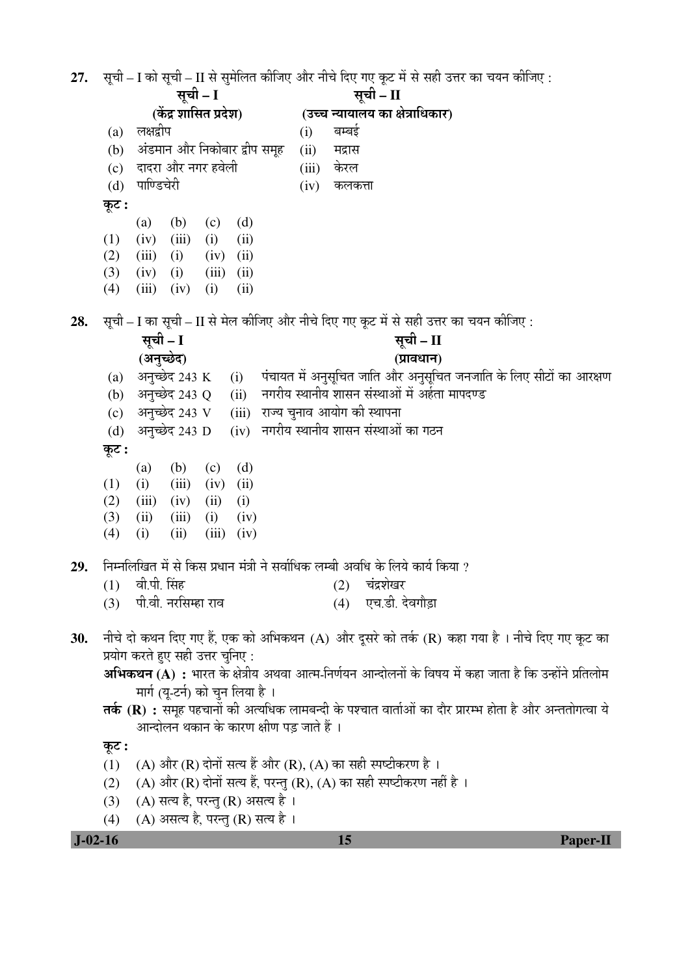**J-02-16 15 Paper-II**  $27.$  सूची – I को सूची – II से सुमेलित कीजिए और नीचे दिए गए कूट में से सही उत्तर का चयन कीजिए : सची – I (केंद्र शासित प्रदेश) <u>सची – II</u> (उच्च न्यायालय का क्षेत्राधिकार) (a) लक्षद्वीप (i) बम्बई (b) अंडमान और निकोबार द्वीप समूह (ii) मद्रास (c) ¤üÖ¤ü¸üÖ †Öî¸ü ®ÖÝÖ¸ü Æü¾Öê»Öß (iii) Ûêú¸ü»Ö (d) पाण्डिचेरी (iv) कलकत्ता <u>क</u>ट: (a) (b) (c) (d)  $(1)$   $(iv)$   $(iii)$   $(i)$   $(ii)$  $(2)$   $(iii)$   $(i)$   $(iv)$   $(ii)$  $(3)$   $(iv)$   $(i)$   $(iii)$   $(ii)$  $(4)$   $(iii)$   $(iv)$   $(i)$   $(ii)$ **28.** सूची – I का सूची – II से मेल कीजिए और नीचे दिए गए कूट में से सही उत्तर का चयन कीजिए : सूची – I **(**†®Öã""êû¤ü**)**  सूची – II **(**¯ÖÏÖ¾Ö¬ÖÖ®Ö**)**  (a) अनुच्छेद 243 K (i) पंचायत में अनुसूचित जाति और अनुसूचित जनजाति के लिए सीटों का आरक्षण (b) अनुच्छेद 243 Q (ii) नगरीय स्थानीय शासन संस्थाओं में अर्हता मापदण्ड  $(c)$  अनच्छेद 243 V  $(iii)$  राज्य चनाव आयोग की स्थापना (d) अनुच्छेद 243 D (iv) नगरीय स्थानीय शासन संस्थाओं का गठन कूट : (a) (b) (c) (d)  $(1)$   $(ii)$   $(iii)$   $(iv)$   $(ii)$  $(2)$   $(iii)$   $(iv)$   $(ii)$   $(i)$  $(3)$   $(ii)$   $(iii)$   $(i)$   $(iv)$  $(4)$  (i) (iii) (iii) (iv)  $29.$  निम्नलिखित में से किस प्रधान मंत्री ने सर्वाधिक लम्बी अवधि के लिये कार्य किया ?  $(1)$  वी.पी. सिंह  $(2)$  चंद्रशेखर (3) पी.वी. नरसिम्हा राव (4) एच.डी. देवगौडा 30. नीचे दो कथन दिए गए हैं, एक को अभिकथन (A) और दूसरे को तर्क (R) कहा गया है । नीचे दिए गए कूट का प्रयोग करते हुए सही उत्तर चुनिए : **अभिकथन (A) :** भारत के क्षेत्रीय अथवा आत्म-निर्णयन आन्दोलनों के विषय में कहा जाता है कि उन्होंने प्रतिलोम मार्ग (यु-टर्न) को चुन लिया है । **तर्क (R) :** समूह पहचानों की अत्यधिक लामबन्दी के पश्चात वार्ताओं का दौर प्रारम्भ होता है और अन्ततोगत्वा ये आन्दोलन थकान के कारण क्षीण पड़ जाते हैं । कूट : (1) (A) और (R) दोनों सत्य हैं और (R), (A) का सही स्पष्टीकरण है। (2) (A) और (R) दोनों सत्य हैं, परन्तु (R), (A) का सही स्पष्टीकरण नहीं है ।  $(3)$   $(A)$  सत्य है, परन्तु $(R)$  असत्य है।  $(4)$   $(A)$  असत्य है, परन्तु (R) सत्य है।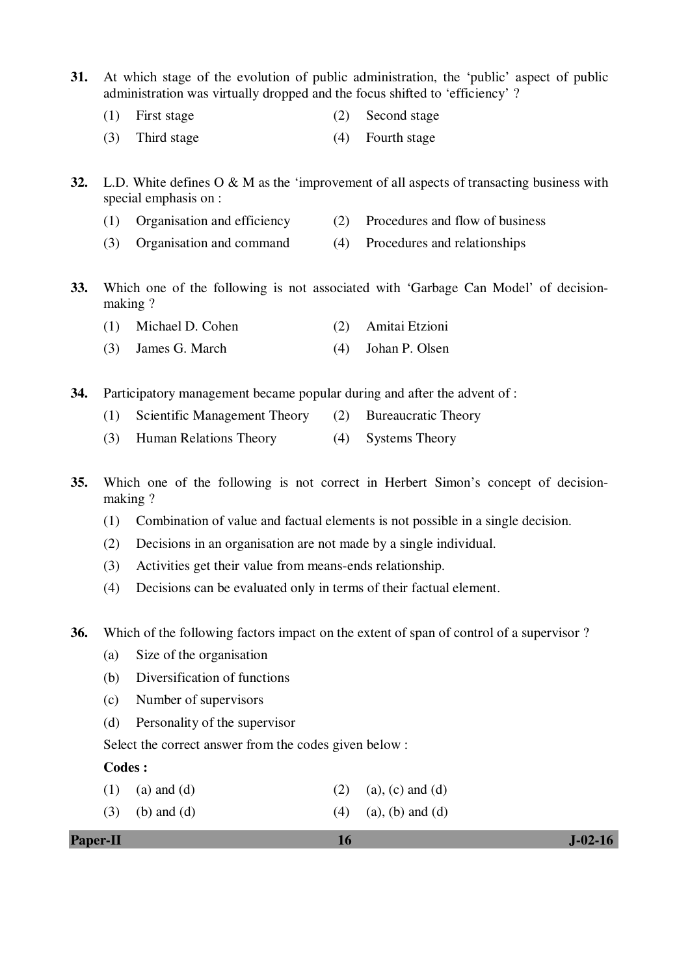- **31.** At which stage of the evolution of public administration, the 'public' aspect of public administration was virtually dropped and the focus shifted to 'efficiency' ?
	- (1) First stage (2) Second stage
	- (3) Third stage (4) Fourth stage
- **32.** L.D. White defines O & M as the 'improvement of all aspects of transacting business with special emphasis on :
	- (1) Organisation and efficiency (2) Procedures and flow of business
	- (3) Organisation and command (4) Procedures and relationships
- **33.** Which one of the following is not associated with 'Garbage Can Model' of decisionmaking ?
	- (1) Michael D. Cohen (2) Amitai Etzioni
	- (3) James G. March (4) Johan P. Olsen
- **34.** Participatory management became popular during and after the advent of :
	- (1) Scientific Management Theory (2) Bureaucratic Theory
	- (3) Human Relations Theory (4) Systems Theory
- **35.** Which one of the following is not correct in Herbert Simon's concept of decisionmaking ?
	- (1) Combination of value and factual elements is not possible in a single decision.
	- (2) Decisions in an organisation are not made by a single individual.
	- (3) Activities get their value from means-ends relationship.
	- (4) Decisions can be evaluated only in terms of their factual element.
- **36.** Which of the following factors impact on the extent of span of control of a supervisor ?
	- (a) Size of the organisation
	- (b) Diversification of functions
	- (c) Number of supervisors
	- (d) Personality of the supervisor
	- Select the correct answer from the codes given below :

#### **Codes :**

- (1) (a) and (d) (2) (a), (c) and (d)
- (3) (b) and (d)  $(4)$  (a), (b) and (d)

| <b>Paper-II</b> | $J-02-16$ |
|-----------------|-----------|
|                 |           |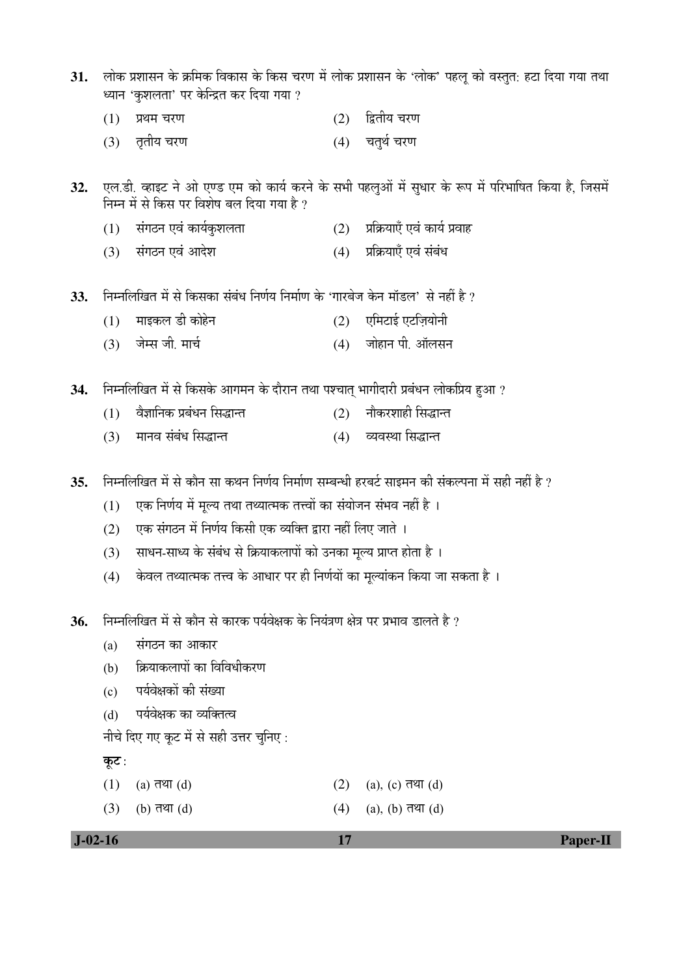- 31. लोक प्रशासन के क्रमिक विकास के किस चरण में लोक प्रशासन के 'लोक' पहलू को वस्तुत: हटा दिया गया तथा ध्यान 'कृशलता' पर केन्द्रित कर दिया गया ?
	- $(1)$  प्रथम चरण  $(2)$  द्वितीय चरण
	- (3) तृतीय चरण (4) चतुर्थ चरण
- 32. एल.डी. व्हाइट ने ओ एण्ड एम को कार्य करने के सभी पहलुओं में सुधार के रूप में परिभाषित किया है, जिसमें निम्न में से किस पर विशेष बल दिया गया है ?
	- $(1)$  संगठन एवं कार्यकुशलता <br  $(2)$  प्रक्रियाएँ एवं कार्य प्रवाह
	- (3) संगठन एवं आदेश (4) प्रक्रियाएँ एवं संबंध
- **33.** ×®Ö´®Ö×»Ö×ÜÖŸÖ ´Öë ÃÖê ×ÛúÃÖÛúÖ ÃÖÓ²ÖÓ¬Ö ×®ÖÞÖÔµÖ ×®Ö´ÖÖÔÞÖ Ûêú 'ÝÖÖ¸ü²Öê•Ö Ûêú®Ö ´ÖÖò›ü»Ö' ÃÖê ®ÖÆüà Æîü ?
	- (1) माइकल डी कोहेन (2) एमिटाई एटज़ियोनी
	- (3) •Öê´ÃÖ •Öß. ´ÖÖ"ÖÔ (4) •ÖÖêÆüÖ®Ö ¯Öß. †Öò»ÖÃÖ®Ö

34. Fiम्नलिखित में से किसके आगमन के दौरान तथा पश्चात् भागीदारी प्रबंधन लोकप्रिय हुआ ?

- (1) ¾Öî–ÖÖ×®ÖÛú ¯ÖϲÖÓ¬Ö®Ö ×ÃÖ¨üÖ®ŸÖ (2) ®ÖÖîÛú¸ü¿ÖÖÆüß ×ÃÖ¨üÖ®ŸÖ
- (3) नानव संबंध सिद्धान्त (4) व्यवस्था सिद्धान्त

**35.** ×®Ö´®Ö×»Ö×ÜÖŸÖ ´Öë ÃÖê ÛúÖî®Ö ÃÖÖ Ûú£Ö®Ö ×®ÖÞÖÔµÖ ×®Ö´ÖÖÔÞÖ ÃÖ´²Ö®¬Öß Æü¸ü²Ö™Ôü ÃÖÖ‡´Ö®Ö Ûúß ÃÖÓÛú»¯Ö®ÖÖ ´Öë ÃÖÆüß ®ÖÆüà Æîü ?

- $(1)$  एक निर्णय में मुल्य तथा तथ्यात्मक तत्त्वों का संयोजन संभव नहीं है ।
- (2) एक संगठन में निर्णय किसी एक व्यक्ति द्वारा नहीं लिए जाते ।
- (3) साधन-साध्य के संबंध से क्रियाकलापों को उनका मल्य प्राप्त होता है ।
- (4) केवल तथ्यात्मक तत्त्व के आधार पर ही निर्णयों का मूल्यांकन किया जा सकता है ।
- **36.** ×®Ö´®Ö×»Ö×ÜÖŸÖ ´Öë ÃÖê ÛúÖî®Ö ÃÖê ÛúÖ¸üÛú ¯ÖµÖÔ¾ÖêõÖÛú Ûêú ×®ÖµÖÓ¡ÖÞÖ õÖê¡Ö ¯Ö¸ü ¯ÖϳÖÖ¾Ö ›üÖ»ÖŸÖê Æîü ?
	- $(a)$  संगठन का आकार
	- (b) *कि*याकलापों का विविधीकरण
	- (c) पर्यवेक्षकों की संख्या
	- (d) पर्यवेक्षक का व्यक्तित्व

नीचे दिए गए कूट में से सही उत्तर चुनिए :

## कूट:

- (1) (a)  $\overline{d}$  and  $\overline{d}$  (d) (a) (a), (c)  $\overline{d}$  and (d) (a), (c)  $\overline{d}$
- (3) (b)  $\overline{d}$  $\overline{v}$  (d) (a), (b)  $\overline{d}$  $\overline{v}$  (d) (a), (b)  $\overline{d}$  $\overline{v}$  (d)

 **J-02-16 17 Paper-II**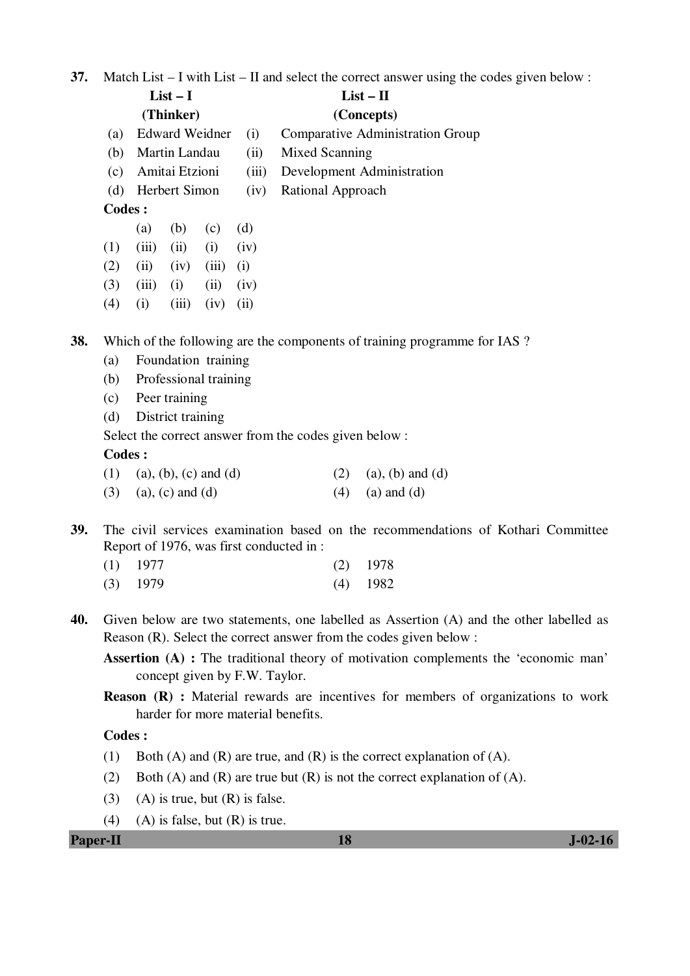**37.** Match List – I with List – II and select the correct answer using the codes given below :

|        |                    | $List-I$              |       |                    | $List - II$                             |
|--------|--------------------|-----------------------|-------|--------------------|-----------------------------------------|
|        |                    | (Thinker)             |       |                    | (Concepts)                              |
| (a)    |                    | <b>Edward Weidner</b> |       | (i)                | <b>Comparative Administration Group</b> |
| (b)    |                    | Martin Landau         |       | (ii)               | Mixed Scanning                          |
| (c)    |                    | Amitai Etzioni        |       | (iii)              | Development Administration              |
| (d)    |                    | Herbert Simon         |       | (iv)               | Rational Approach                       |
| Codes: |                    |                       |       |                    |                                         |
|        | (a)                | (b)                   | (c)   | (d)                |                                         |
| (1)    | (iii)              | (ii)                  | (i)   | (iv)               |                                         |
| (2)    | (ii)               | (iv)                  | (iii) | $\left( 1 \right)$ |                                         |
| (3)    | (iii)              | (i)                   | (ii)  | (iv)               |                                         |
| (4)    | $\left( 1 \right)$ | (iii)                 | (iv)  | (11)               |                                         |

**38.** Which of the following are the components of training programme for IAS ?

- (a) Foundation training
- (b) Professional training
- (c) Peer training
- (d) District training

Select the correct answer from the codes given below :

#### **Codes :**

| (1) (a), (b), (c) and (d) | (2) (a), (b) and (d) |
|---------------------------|----------------------|
| $(3)$ (a), (c) and (d)    | $(4)$ (a) and (d)    |

- **39.** The civil services examination based on the recommendations of Kothari Committee Report of 1976, was first conducted in :
- (1) 1977 (2) 1978 (3) 1979 (4) 1982
- **40.** Given below are two statements, one labelled as Assertion (A) and the other labelled as Reason (R). Select the correct answer from the codes given below :

**Assertion (A) :** The traditional theory of motivation complements the 'economic man' concept given by F.W. Taylor.

**Reason (R) :** Material rewards are incentives for members of organizations to work harder for more material benefits.

### **Codes :**

- (1) Both (A) and (R) are true, and (R) is the correct explanation of (A).
- (2) Both (A) and (R) are true but  $(R)$  is not the correct explanation of  $(A)$ .
- (3) (A) is true, but  $(R)$  is false.
- (4) (A) is false, but  $(R)$  is true.

## **Paper-II** J-02-16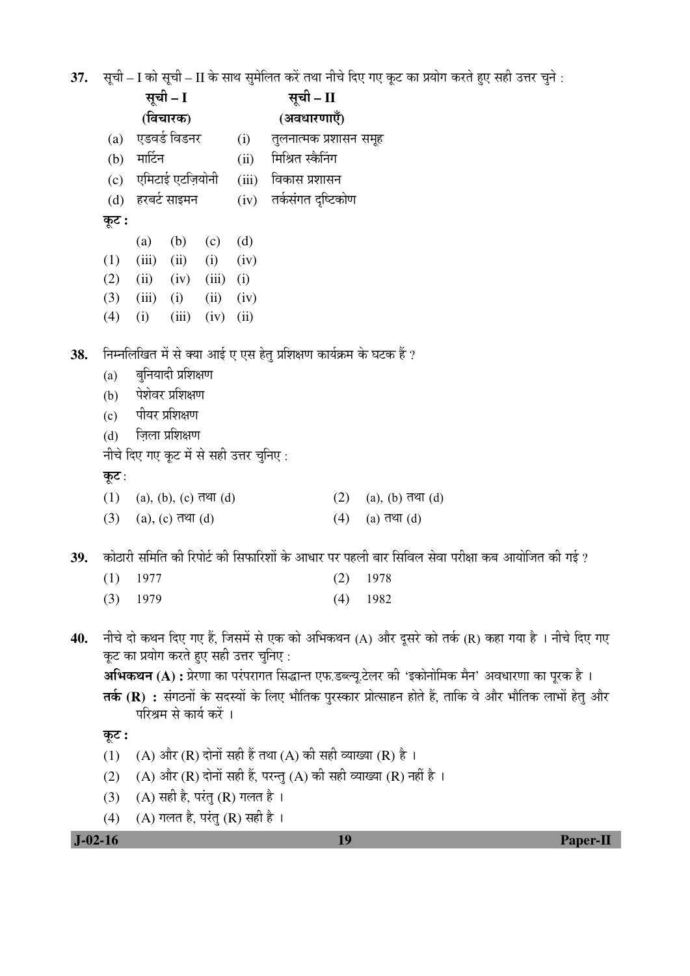37. सूची – I को सूची – II के साथ सुमेलित करें तथा नीचे दिए गए कूट का प्रयोग करते हुए सही उत्तर चुने :

|     | सूची – I                                                                                                |         | सूची – II                               |                        |       |                                                                      |     |                                                                                                  |  |  |
|-----|---------------------------------------------------------------------------------------------------------|---------|-----------------------------------------|------------------------|-------|----------------------------------------------------------------------|-----|--------------------------------------------------------------------------------------------------|--|--|
|     | (विचारक)                                                                                                |         |                                         | (अवधारणाएँ)            |       |                                                                      |     |                                                                                                  |  |  |
|     | एडवर्ड विडनर<br>(a)                                                                                     |         | (i)                                     | तुलनात्मक प्रशासन समूह |       |                                                                      |     |                                                                                                  |  |  |
|     | (b)                                                                                                     | मार्टिन |                                         |                        | (ii)  | मिश्रित स्कैनिंग                                                     |     |                                                                                                  |  |  |
|     | (c)                                                                                                     |         | एमिटाई एटज़ियोनी                        |                        | (iii) | विकास प्रशासन                                                        |     |                                                                                                  |  |  |
|     | (d)                                                                                                     |         | हरबर्ट साइमन                            |                        | (iv)  | तर्कसंगत दृष्टिकोण                                                   |     |                                                                                                  |  |  |
|     | कूट :                                                                                                   |         |                                         |                        |       |                                                                      |     |                                                                                                  |  |  |
|     |                                                                                                         | (a)     | (b)                                     | (c)                    | (d)   |                                                                      |     |                                                                                                  |  |  |
|     | (1)                                                                                                     | (iii)   | (ii)                                    | (i)                    | (iv)  |                                                                      |     |                                                                                                  |  |  |
|     | (2)                                                                                                     | (ii)    | (iv)                                    | (iii)                  | (i)   |                                                                      |     |                                                                                                  |  |  |
|     | (3)                                                                                                     | (iii)   | (i)                                     | (ii)                   | (iv)  |                                                                      |     |                                                                                                  |  |  |
|     | (4)                                                                                                     | (i)     | (iii)                                   | (iv)                   | (ii)  |                                                                      |     |                                                                                                  |  |  |
| 38. |                                                                                                         |         |                                         |                        |       | निम्नलिखित में से क्या आई ए एस हेतु प्रशिक्षण कार्यक्रम के घटक हैं ? |     |                                                                                                  |  |  |
|     | (a)                                                                                                     |         | बुनियादी प्रशिक्षण                      |                        |       |                                                                      |     |                                                                                                  |  |  |
|     | (b)                                                                                                     |         | पेशेवर प्रशिक्षण                        |                        |       |                                                                      |     |                                                                                                  |  |  |
|     | (c)                                                                                                     |         | पीयर प्रशिक्षण                          |                        |       |                                                                      |     |                                                                                                  |  |  |
|     | (d)                                                                                                     |         | ज़िला प्रशिक्षण                         |                        |       |                                                                      |     |                                                                                                  |  |  |
|     |                                                                                                         |         | नीचे दिए गए कूट में से सही उत्तर चुनिए: |                        |       |                                                                      |     |                                                                                                  |  |  |
|     | कूट :                                                                                                   |         |                                         |                        |       |                                                                      |     |                                                                                                  |  |  |
|     | (1)                                                                                                     |         | $(a), (b), (c)$ तथा $(d)$               |                        |       |                                                                      | (2) | (a), $(b)$ तथा $(d)$                                                                             |  |  |
|     | (3)                                                                                                     |         | $(a)$ , $(c)$ तथा $(d)$                 |                        |       |                                                                      | (4) | (a) तथा $(d)$                                                                                    |  |  |
| 39. | कोठारी समिति की रिपोर्ट की सिफारिशों के आधार पर पहली बार सिविल सेवा परीक्षा कब आयोजित की गई ?           |         |                                         |                        |       |                                                                      |     |                                                                                                  |  |  |
|     | (1)                                                                                                     | 1977    |                                         |                        |       |                                                                      | (2) | 1978                                                                                             |  |  |
|     | (3)                                                                                                     | 1979    |                                         |                        |       |                                                                      | (4) | 1982                                                                                             |  |  |
| 40. |                                                                                                         |         |                                         |                        |       |                                                                      |     | नीचे दो कथन दिए गए हैं, जिसमें से एक को अभिकथन (A) और दूसरे को तर्क (R) कहा गया है । नीचे दिए गए |  |  |
|     |                                                                                                         |         | कूट का प्रयोग करते हुए सही उत्तर चुनिए: |                        |       |                                                                      |     |                                                                                                  |  |  |
|     | अभिकथन (A) : प्रेरणा का परंपरागत सिद्धान्त एफ.डब्ल्यू.टेलर की 'इकोनोमिक मैन' अवधारणा का पूरक है ।       |         |                                         |                        |       |                                                                      |     |                                                                                                  |  |  |
|     | तर्क (R) : संगठनों के सदस्यों के लिए भौतिक पुरस्कार प्रोत्साहन होते हैं, ताकि वे और भौतिक लाभों हेतु और |         |                                         |                        |       |                                                                      |     |                                                                                                  |  |  |
|     | परिश्रम से कार्य करें ।                                                                                 |         |                                         |                        |       |                                                                      |     |                                                                                                  |  |  |
|     | कूट :                                                                                                   |         |                                         |                        |       |                                                                      |     |                                                                                                  |  |  |
|     | (A) और (R) दोनों सही हैं तथा (A) की सही व्याख्या (R) है ।<br>(1)                                        |         |                                         |                        |       |                                                                      |     |                                                                                                  |  |  |
|     | (A) और (R) दोनों सही हैं, परन्तु (A) की सही व्याख्या (R) नहीं है ।<br>(2)                               |         |                                         |                        |       |                                                                      |     |                                                                                                  |  |  |
|     | (A) सही है, परंतु (R) गलत है।<br>(3)                                                                    |         |                                         |                        |       |                                                                      |     |                                                                                                  |  |  |

(4) (A) गलत है, परंतु (R) सही है।

 **J-02-16 19 Paper-II**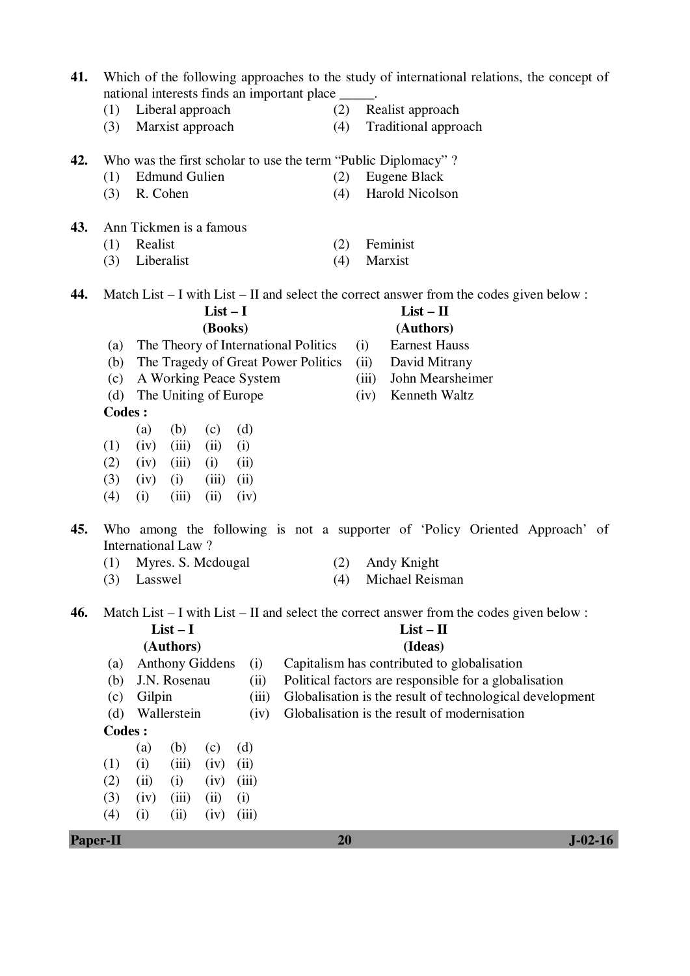| Paper-II                |                                                                                                                     |                                                                                           |                                                                                  | 20  |       |                                                                                              | $J-02-16$ |  |
|-------------------------|---------------------------------------------------------------------------------------------------------------------|-------------------------------------------------------------------------------------------|----------------------------------------------------------------------------------|-----|-------|----------------------------------------------------------------------------------------------|-----------|--|
|                         | (4)                                                                                                                 | (i)<br>(ii)<br>(iv)                                                                       | (iii)                                                                            |     |       |                                                                                              |           |  |
|                         | (3)                                                                                                                 | (iv)<br>(ii)<br>(iii)                                                                     | (i)                                                                              |     |       |                                                                                              |           |  |
|                         | (2)                                                                                                                 | (ii)<br>(i)<br>(iv)                                                                       | (iii)                                                                            |     |       |                                                                                              |           |  |
|                         | (1)                                                                                                                 | (i)<br>(iii)<br>(iv)                                                                      | (ii)                                                                             |     |       |                                                                                              |           |  |
|                         |                                                                                                                     | (b)<br>(a)<br>(c)                                                                         | (d)                                                                              |     |       |                                                                                              |           |  |
|                         | <b>Codes:</b>                                                                                                       |                                                                                           |                                                                                  |     |       |                                                                                              |           |  |
|                         | (d)                                                                                                                 | Wallerstein                                                                               | (iv)                                                                             |     |       | Globalisation is the result of modernisation                                                 |           |  |
|                         | (c)                                                                                                                 | Gilpin                                                                                    | (iii)                                                                            |     |       | Globalisation is the result of technological development                                     |           |  |
|                         | (a)<br>(b)                                                                                                          | J.N. Rosenau                                                                              | (i)<br>(ii)                                                                      |     |       | Political factors are responsible for a globalisation                                        |           |  |
|                         |                                                                                                                     | (Authors)                                                                                 | (Ideas)<br><b>Anthony Giddens</b><br>Capitalism has contributed to globalisation |     |       |                                                                                              |           |  |
| $List - II$<br>$List-I$ |                                                                                                                     |                                                                                           |                                                                                  |     |       |                                                                                              |           |  |
| 46.                     |                                                                                                                     |                                                                                           |                                                                                  |     |       | Match List $-$ I with List $-$ II and select the correct answer from the codes given below : |           |  |
|                         |                                                                                                                     |                                                                                           |                                                                                  |     |       |                                                                                              |           |  |
|                         | (3)                                                                                                                 | Lasswel                                                                                   |                                                                                  | (4) |       | Michael Reisman                                                                              |           |  |
|                         | (1)                                                                                                                 | Myres. S. Mcdougal                                                                        |                                                                                  | (2) |       | Andy Knight                                                                                  |           |  |
| 45.                     |                                                                                                                     | International Law?                                                                        |                                                                                  |     |       | Who among the following is not a supporter of 'Policy Oriented Approach' of                  |           |  |
|                         |                                                                                                                     |                                                                                           |                                                                                  |     |       |                                                                                              |           |  |
|                         | (4)                                                                                                                 | (i)<br>(iii)<br>(ii)                                                                      | (iv)                                                                             |     |       |                                                                                              |           |  |
|                         | (3)                                                                                                                 | (iv)<br>(iii)<br>(i)                                                                      | (ii)                                                                             |     |       |                                                                                              |           |  |
|                         | (2)                                                                                                                 | (iv)<br>(iii)<br>(i)                                                                      | (ii)                                                                             |     |       |                                                                                              |           |  |
|                         | (1)                                                                                                                 | (b)<br>(a)<br>(c)<br>(iv)<br>(iii)<br>(ii)                                                | (d)<br>(i)                                                                       |     |       |                                                                                              |           |  |
|                         | <b>Codes:</b>                                                                                                       |                                                                                           |                                                                                  |     |       |                                                                                              |           |  |
|                         | (d)                                                                                                                 | The Uniting of Europe                                                                     |                                                                                  |     | (iv)  | Kenneth Waltz                                                                                |           |  |
|                         | (c)                                                                                                                 | A Working Peace System                                                                    |                                                                                  |     | (iii) | John Mearsheimer                                                                             |           |  |
|                         | (b)                                                                                                                 | The Tragedy of Great Power Politics                                                       |                                                                                  |     | (ii)  | David Mitrany                                                                                |           |  |
|                         | (a)                                                                                                                 | The Theory of International Politics                                                      |                                                                                  |     | (i)   | <b>Earnest Hauss</b>                                                                         |           |  |
|                         |                                                                                                                     |                                                                                           | (Books)                                                                          |     |       | (Authors)                                                                                    |           |  |
|                         |                                                                                                                     |                                                                                           | $List-I$                                                                         |     |       | $List - II$                                                                                  |           |  |
| 44.                     |                                                                                                                     |                                                                                           |                                                                                  |     |       | Match List $-$ I with List $-$ II and select the correct answer from the codes given below : |           |  |
|                         | (3)                                                                                                                 | Liberalist                                                                                |                                                                                  | (4) |       | Marxist                                                                                      |           |  |
|                         | (1)                                                                                                                 | Realist                                                                                   |                                                                                  | (2) |       | Feminist                                                                                     |           |  |
| 43.                     |                                                                                                                     | Ann Tickmen is a famous                                                                   |                                                                                  |     |       |                                                                                              |           |  |
|                         |                                                                                                                     |                                                                                           |                                                                                  |     |       |                                                                                              |           |  |
|                         | (3)                                                                                                                 | R. Cohen                                                                                  |                                                                                  | (4) |       | <b>Harold Nicolson</b>                                                                       |           |  |
|                         | Who was the first scholar to use the term "Public Diplomacy"?<br><b>Edmund Gulien</b><br>(2)<br>Eugene Black<br>(1) |                                                                                           |                                                                                  |     |       |                                                                                              |           |  |
| 42.                     |                                                                                                                     |                                                                                           |                                                                                  |     |       |                                                                                              |           |  |
|                         | (3)                                                                                                                 | Marxist approach                                                                          |                                                                                  | (4) |       | Traditional approach                                                                         |           |  |
|                         | (1)                                                                                                                 | Liberal approach                                                                          |                                                                                  | (2) |       | Realist approach                                                                             |           |  |
|                         |                                                                                                                     | national interests finds an important place _____.                                        |                                                                                  |     |       |                                                                                              |           |  |
| 41.                     |                                                                                                                     | Which of the following approaches to the study of international relations, the concept of |                                                                                  |     |       |                                                                                              |           |  |
|                         |                                                                                                                     |                                                                                           |                                                                                  |     |       |                                                                                              |           |  |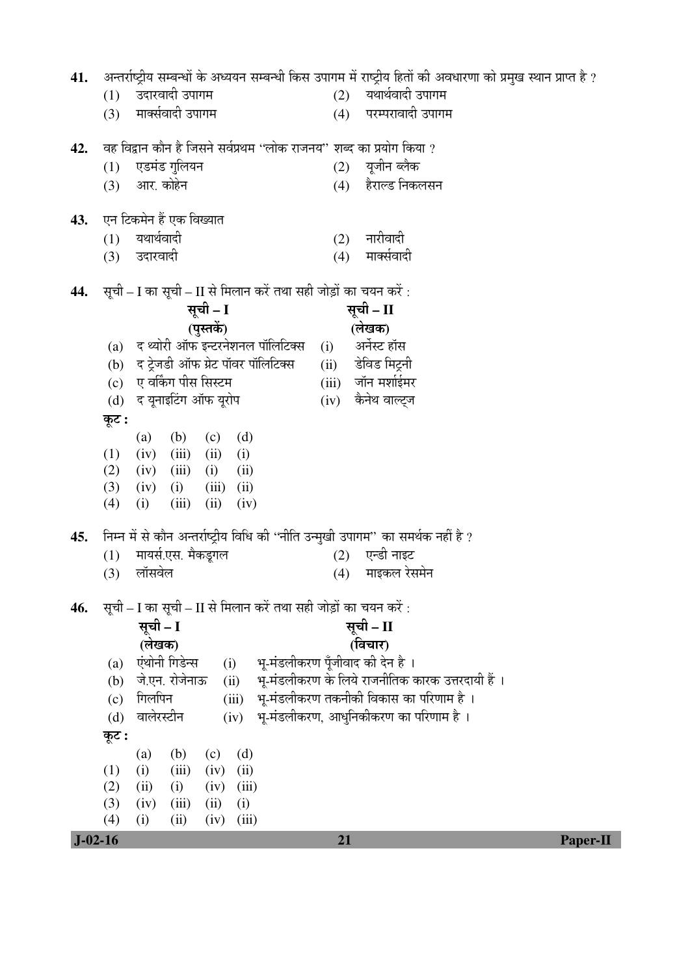| 41.       | अन्तर्राष्ट्रीय सम्बन्धों के अध्ययन सम्बन्धी किस उपागम में राष्ट्रीय हितों की अवधारणा को प्रमुख स्थान प्राप्त है ? |                           |          |  |  |  |  |
|-----------|--------------------------------------------------------------------------------------------------------------------|---------------------------|----------|--|--|--|--|
|           | उदारवादी उपागम<br>(1)                                                                                              | यथार्थवादी उपागम<br>(2)   |          |  |  |  |  |
|           | मार्क्सवादी उपागम<br>(3)                                                                                           | परम्परावादी उपागम<br>(4)  |          |  |  |  |  |
|           |                                                                                                                    |                           |          |  |  |  |  |
| 42.       | वह विद्वान कौन है जिसने सर्वप्रथम ''लोक राजनय'' शब्द का प्रयोग किया ?                                              |                           |          |  |  |  |  |
|           | एडमंड गुलियन<br>(1)                                                                                                | (2) यूजीन ब्लैक           |          |  |  |  |  |
|           | (3) आर. कोहेन                                                                                                      | (4) हैराल्ड निकलसन        |          |  |  |  |  |
| 43.       | एन टिकमेन हैं एक विख्यात                                                                                           |                           |          |  |  |  |  |
|           | यथार्थवादी<br>(1)                                                                                                  | नारीवादी<br>(2)           |          |  |  |  |  |
|           | (3) उदारवादी                                                                                                       | मार्क्सवादी<br>(4)        |          |  |  |  |  |
|           |                                                                                                                    |                           |          |  |  |  |  |
| 44.       | सूची – I का सूची – II से मिलान करें तथा सही जोड़ों का चयन करें :                                                   |                           |          |  |  |  |  |
|           | सूची - I<br>(पुस्तकें)                                                                                             | सूची – II<br>(लेखक)       |          |  |  |  |  |
|           | (a) द थ्योरी ऑफ इन्टरनेशनल पॉलिटिक्स                                                                               | अर्नेस्ट हॉस              |          |  |  |  |  |
|           | (b) द ट्रेजडी ऑफ ग्रेट पॉवर पॉलिटिक्स                                                                              | (i)<br>(ii) डेविड मिट्रनी |          |  |  |  |  |
|           | (c) ए वर्किंग पीस सिस्टम                                                                                           | (iii) जॉन मर्शाईमर        |          |  |  |  |  |
|           | (d) द यूनाइटिंग ऑफ यूरोप                                                                                           | (iv) कैनेथ वाल्ट्ज        |          |  |  |  |  |
|           | कूट :                                                                                                              |                           |          |  |  |  |  |
|           | (b)<br>(c)<br>(d)<br>(a)                                                                                           |                           |          |  |  |  |  |
|           | (1)<br>(iv)<br>(iii)<br>(ii)<br>(i)                                                                                |                           |          |  |  |  |  |
|           | (2)<br>(iii)<br>(iv)<br>(i)<br>(ii)                                                                                |                           |          |  |  |  |  |
|           | (3)<br>(iii)<br>(iv)<br>(i)<br>(ii)                                                                                |                           |          |  |  |  |  |
|           | (iii)<br>(ii)<br>(4)<br>(i)<br>(iv)                                                                                |                           |          |  |  |  |  |
| 45.       | निम्न में से कौन अन्तर्राष्ट्रीय विधि की "नीति उन्मुखी उपागम" का समर्थक नहीं है ?                                  |                           |          |  |  |  |  |
|           | मायर्स.एस. मैकडूगल<br>(1)                                                                                          | एन्डी नाइट<br>(2)         |          |  |  |  |  |
|           | लॉसवेल<br>(3)                                                                                                      | माइकल रेसमेन<br>(4)       |          |  |  |  |  |
|           |                                                                                                                    |                           |          |  |  |  |  |
| 46.       | सूची – I का सूची – II से मिलान करें तथा सही जोड़ों का चयन करें :                                                   |                           |          |  |  |  |  |
|           | सूची - I                                                                                                           | सूची – II                 |          |  |  |  |  |
|           | (लेखक)                                                                                                             | (विचार)                   |          |  |  |  |  |
|           | एंथोनी गिडेन्स<br>भू-मंडलीकरण पूँजीवाद की देन है ।<br>(i)<br>(a)                                                   |                           |          |  |  |  |  |
|           | भू-मंडलीकरण के लिये राजनीतिक कारक उत्तरदायी हैं ।<br>जे.एन. रोजेनाऊ<br>(ii)<br>(b)                                 |                           |          |  |  |  |  |
|           | भू-मंडलीकरण तकनीकी विकास का परिणाम है ।<br>गिलपिन<br>(iii)<br>(c)<br>भू-मंडलीकरण, आधुनिकीकरण का परिणाम है ।        |                           |          |  |  |  |  |
|           | वालेरस्टीन<br>(iv)<br>(d)                                                                                          |                           |          |  |  |  |  |
|           | कूट :                                                                                                              |                           |          |  |  |  |  |
|           | (b)<br>(c)<br>(d)<br>(a)<br>(iii)<br>(1)<br>(iv)<br>(ii)<br>(i)                                                    |                           |          |  |  |  |  |
|           | (2)<br>(i)<br>(iv)<br>(ii)<br>(iii)                                                                                |                           |          |  |  |  |  |
|           | (3)<br>(iii)<br>(ii)<br>(i)<br>(iv)                                                                                |                           |          |  |  |  |  |
|           | (4)<br>(ii)<br>(iv)<br>(iii)<br>(i)                                                                                |                           |          |  |  |  |  |
| $J-02-16$ |                                                                                                                    | 21                        | Paper-II |  |  |  |  |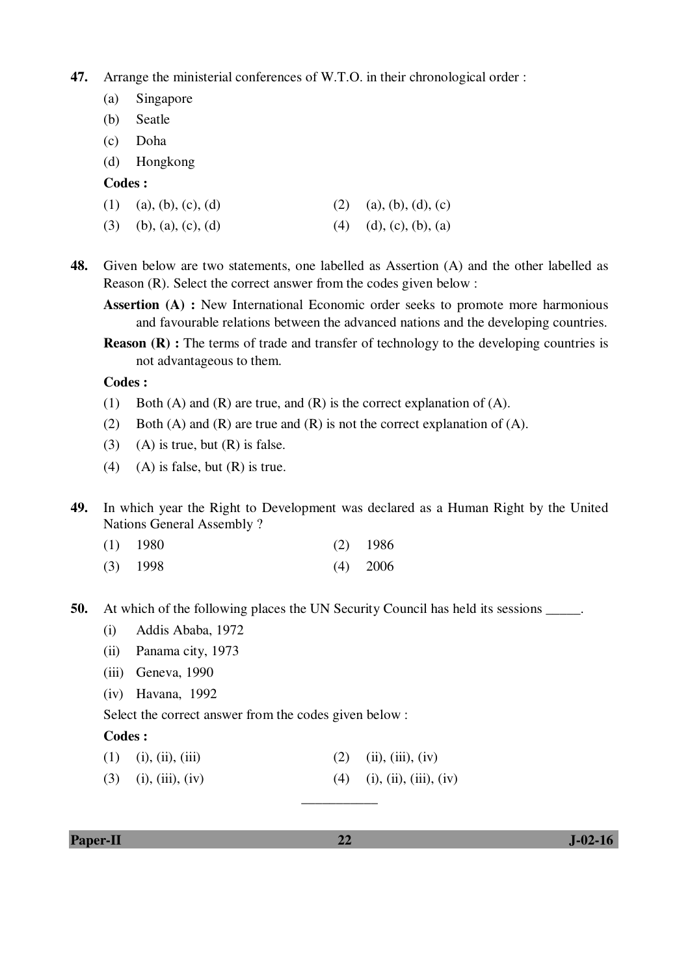**47.** Arrange the ministerial conferences of W.T.O. in their chronological order :

- (a) Singapore
- (b) Seatle
- (c) Doha
- (d) Hongkong

#### **Codes :**

- (3) (b), (a), (c), (d) (4) (d), (c), (b), (a)
- **48.** Given below are two statements, one labelled as Assertion (A) and the other labelled as Reason (R). Select the correct answer from the codes given below :
	- **Assertion (A) :** New International Economic order seeks to promote more harmonious and favourable relations between the advanced nations and the developing countries.
	- **Reason (R) :** The terms of trade and transfer of technology to the developing countries is not advantageous to them.

 **Codes :** 

- (1) Both (A) and (R) are true, and (R) is the correct explanation of (A).
- (2) Both (A) and (R) are true and (R) is not the correct explanation of (A).
- (3) (A) is true, but  $(R)$  is false.
- (4) (A) is false, but  $(R)$  is true.
- **49.** In which year the Right to Development was declared as a Human Right by the United Nations General Assembly ?
- (1) 1980 (2) 1986
- (3) 1998 (4) 2006

**50.** At which of the following places the UN Security Council has held its sessions \_\_\_\_\_.

- (i) Addis Ababa, 1972
- (ii) Panama city, 1973
- (iii) Geneva, 1990
- (iv) Havana, 1992

Select the correct answer from the codes given below :

### **Codes :**

- (1) (i), (ii), (iii) (2) (ii), (iii), (iv)
- (3) (i), (iii), (iv) (4) (i), (iii), (iv)

**Paper-II 32 J-02-16** 

\_\_\_\_\_\_\_\_\_\_\_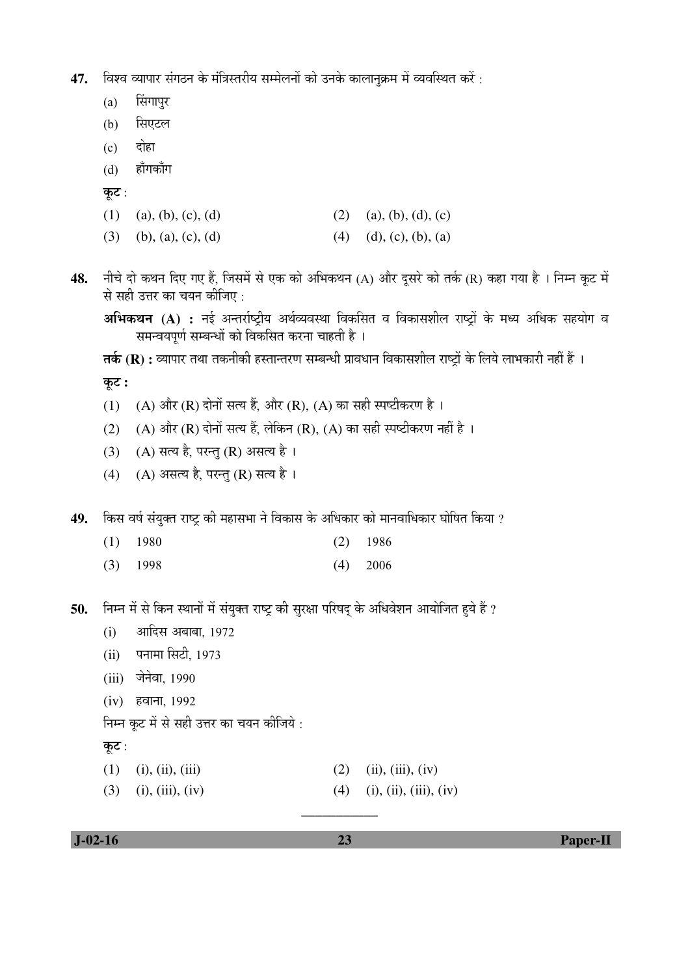**47.** विश्व व्यापार संगठन के मंत्रिस्तरीय सम्मेलनों को उनके कालानुक्रम में व्यवस्थित करें :

- $(a)$  सिंगापुर
- (b) सिएटल
- $(c)$  दोहा
- (d) हाँगकाँग
- कूट:
- (1) (a), (b), (c), (d) (2) (a), (b), (d), (c)
- (3) (b), (a), (c), (d) (4) (d), (c), (b), (a)
- 48. नीचे दो कथन दिए गए हैं, जिसमें से एक को अभिकथन (A) और दूसरे को तर्क (R) कहा गया है । निम्न कूट में से सही उत्तर का चयन कीजिए :

अभिकथन (A) : नई अन्तर्राष्ट्रीय अर्थव्यवस्था विकसित व विकासशील राष्ट्रों के मध्य अधिक सहयोग व समन्वयपूर्ण सम्बन्धों को विकसित करना चाहती है ।

**तर्क (R) :** व्यापार तथा तकनीकी हस्तान्तरण सम्बन्धी प्रावधान विकासशील राष्ट्रों के लिये लाभकारी नहीं हैं ।

कूट :

- (1) (A) और (R) दोनों सत्य हैं, और (R), (A) का सही स्पष्टीकरण है।
- (2) (A) और (R) दोनों सत्य हैं, लेकिन (R), (A) का सही स्पष्टीकरण नहीं है ।
- $(3)$   $(A)$  सत्य है, परन्तु (R) असत्य है।
- $(4)$   $(A)$  असत्य है, परन्तु (R) सत्य है।

49. किस वर्ष संयुक्त राष्ट्र की महासभा ने विकास के अधिकार को मानवाधिकार घोषित किया ?

- (1) 1980 (2) 1986
- (3) 1998 (4) 2006

50. Fira में से किन स्थानों में संयुक्त राष्ट्र की सुरक्षा परिषद के अधिवेशन आयोजित हुये हैं ?

- $(i)$  आदिस अबाबा, 1972
- (ii) पनामा सिटी, 1973
- (iii) जेनेवा, 1990
- (iv) हवाना, 1992

निम्न कूट में से सही उत्तर का चयन कीजिये :

```
कूट:
```
- (1) (i), (ii), (iii) (2) (ii), (iii), (iv)
- (3) (i), (iii), (iv) (4) (i), (iii), (iv)

\_\_\_\_\_\_\_\_\_\_\_

 **J-02-16 23 Paper-II**